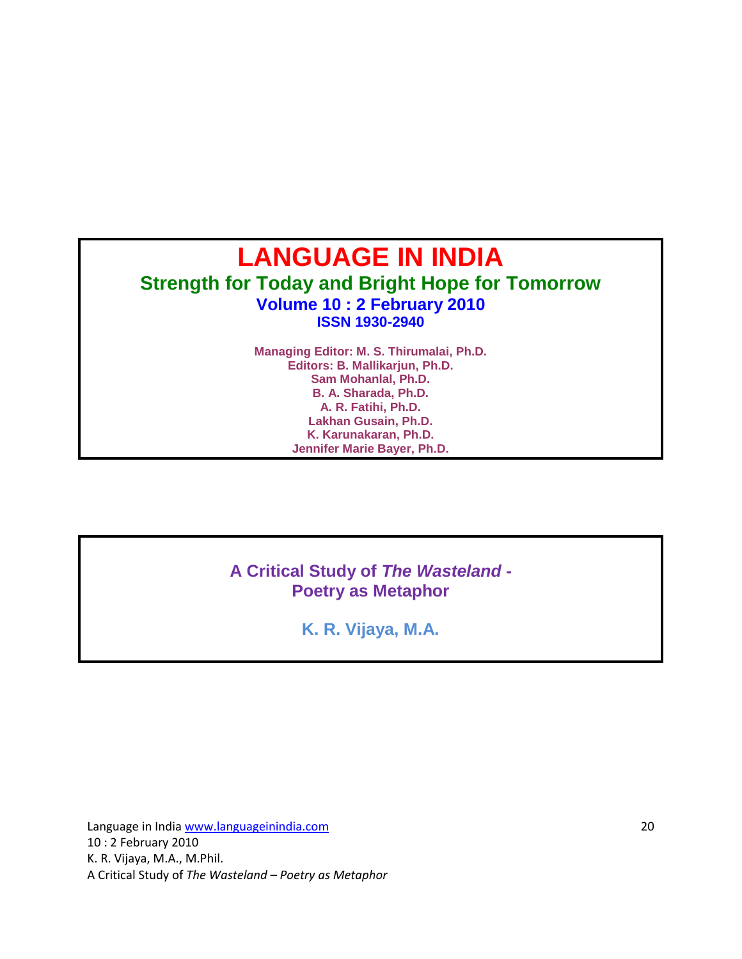# **LANGUAGE IN INDIA Strength for Today and Bright Hope for Tomorrow Volume 10 : 2 February 2010 ISSN 1930-2940**

**Managing Editor: M. S. Thirumalai, Ph.D. Editors: B. Mallikarjun, Ph.D. Sam Mohanlal, Ph.D. B. A. Sharada, Ph.D. A. R. Fatihi, Ph.D. Lakhan Gusain, Ph.D. K. Karunakaran, Ph.D. Jennifer Marie Bayer, Ph.D.**

#### **A Critical Study of** *The Wasteland* **- Poetry as Metaphor**

**K. R. Vijaya, M.A.**

Language in India www.languageinindia.com 20 10 : 2 February 2010 K. R. Vijaya, M.A., M.Phil. A Critical Study of *The Wasteland – Poetry as Metaphor*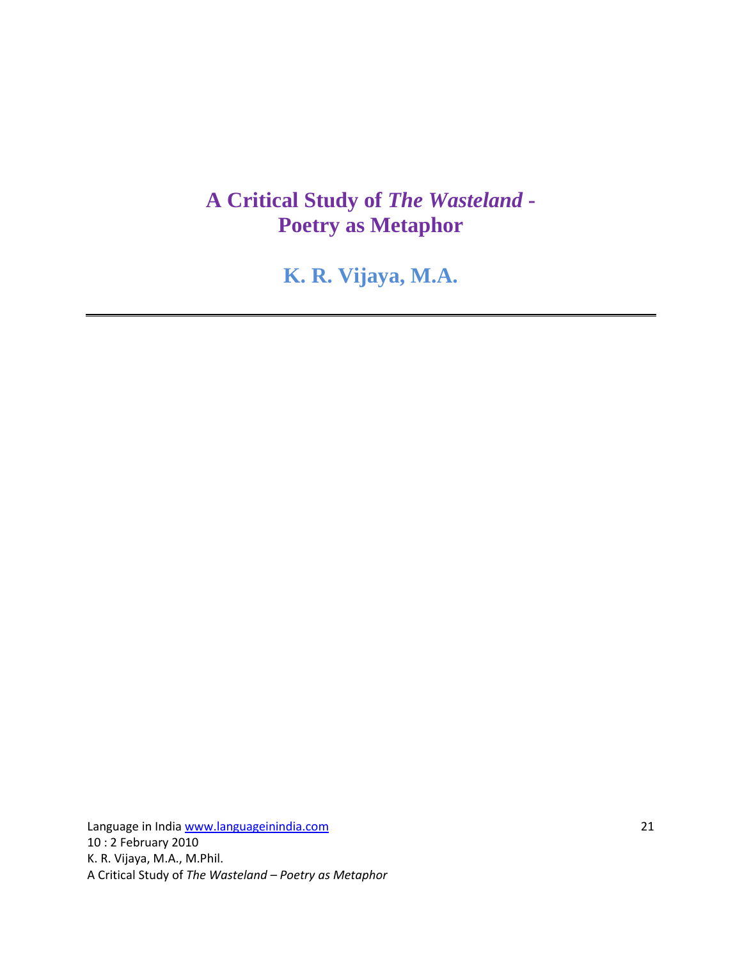# **A Critical Study of** *The Wasteland* **- Poetry as Metaphor**

**K. R. Vijaya, M.A.** 

Language in India www.languageinindia.com 21 10 : 2 February 2010 K. R. Vijaya, M.A., M.Phil. A Critical Study of *The Wasteland – Poetry as Metaphor*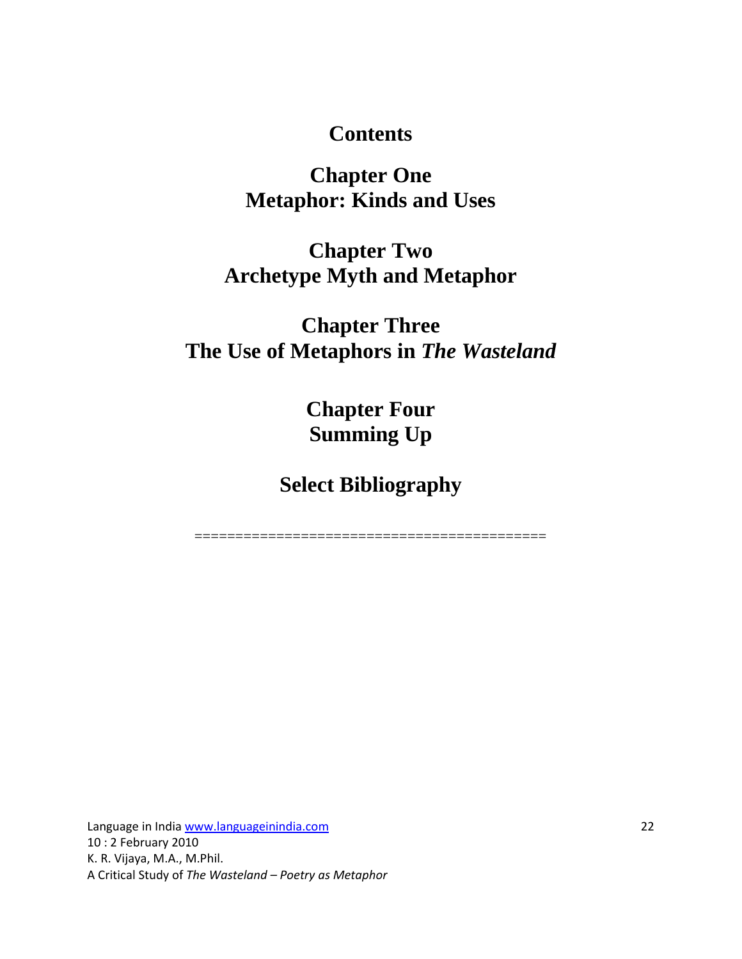#### **Contents**

# **Chapter One Metaphor: Kinds and Uses**

# **Chapter Two Archetype Myth and Metaphor**

# **Chapter Three The Use of Metaphors in** *The Wasteland*

**Chapter Four Summing Up**

**Select Bibliography**

===========================================

Language in India www.languageinindia.com 22 10 : 2 February 2010 K. R. Vijaya, M.A., M.Phil. A Critical Study of *The Wasteland – Poetry as Metaphor*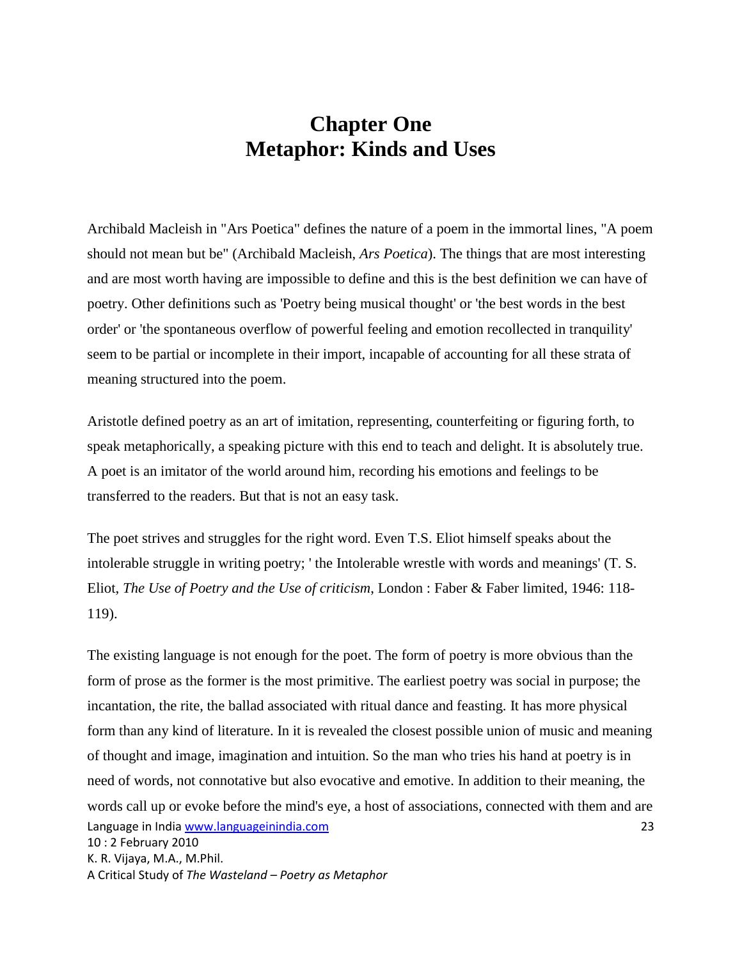#### **Chapter One Metaphor: Kinds and Uses**

Archibald Macleish in "Ars Poetica" defines the nature of a poem in the immortal lines, "A poem should not mean but be" (Archibald Macleish, *Ars Poetica*). The things that are most interesting and are most worth having are impossible to define and this is the best definition we can have of poetry. Other definitions such as 'Poetry being musical thought' or 'the best words in the best order' or 'the spontaneous overflow of powerful feeling and emotion recollected in tranquility' seem to be partial or incomplete in their import, incapable of accounting for all these strata of meaning structured into the poem.

Aristotle defined poetry as an art of imitation, representing, counterfeiting or figuring forth, to speak metaphorically, a speaking picture with this end to teach and delight. It is absolutely true. A poet is an imitator of the world around him, recording his emotions and feelings to be transferred to the readers. But that is not an easy task.

The poet strives and struggles for the right word. Even T.S. Eliot himself speaks about the intolerable struggle in writing poetry; ' the Intolerable wrestle with words and meanings' (T. S. Eliot, *The Use of Poetry and the Use of criticism*, London : Faber & Faber limited, 1946: 118- 119).

Language in India www.languageinindia.com 23 10 : 2 February 2010 K. R. Vijaya, M.A., M.Phil. A Critical Study of *The Wasteland – Poetry as Metaphor* The existing language is not enough for the poet. The form of poetry is more obvious than the form of prose as the former is the most primitive. The earliest poetry was social in purpose; the incantation, the rite, the ballad associated with ritual dance and feasting. It has more physical form than any kind of literature. In it is revealed the closest possible union of music and meaning of thought and image, imagination and intuition. So the man who tries his hand at poetry is in need of words, not connotative but also evocative and emotive. In addition to their meaning, the words call up or evoke before the mind's eye, a host of associations, connected with them and are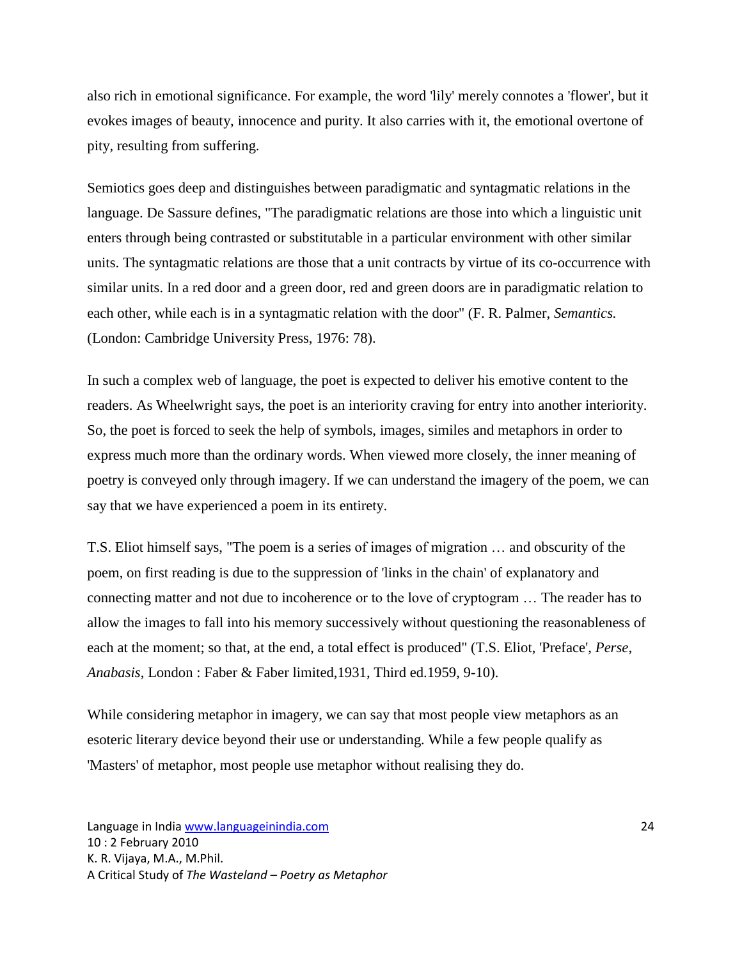also rich in emotional significance. For example, the word 'lily' merely connotes a 'flower', but it evokes images of beauty, innocence and purity. It also carries with it, the emotional overtone of pity, resulting from suffering.

Semiotics goes deep and distinguishes between paradigmatic and syntagmatic relations in the language. De Sassure defines, "The paradigmatic relations are those into which a linguistic unit enters through being contrasted or substitutable in a particular environment with other similar units. The syntagmatic relations are those that a unit contracts by virtue of its co-occurrence with similar units. In a red door and a green door, red and green doors are in paradigmatic relation to each other, while each is in a syntagmatic relation with the door" (F. R. Palmer, *Semantics.* (London: Cambridge University Press, 1976: 78).

In such a complex web of language, the poet is expected to deliver his emotive content to the readers. As Wheelwright says, the poet is an interiority craving for entry into another interiority. So, the poet is forced to seek the help of symbols, images, similes and metaphors in order to express much more than the ordinary words. When viewed more closely, the inner meaning of poetry is conveyed only through imagery. If we can understand the imagery of the poem, we can say that we have experienced a poem in its entirety.

T.S. Eliot himself says, "The poem is a series of images of migration … and obscurity of the poem, on first reading is due to the suppression of 'links in the chain' of explanatory and connecting matter and not due to incoherence or to the love of cryptogram … The reader has to allow the images to fall into his memory successively without questioning the reasonableness of each at the moment; so that, at the end, a total effect is produced" (T.S. Eliot, 'Preface', *Perse, Anabasis*, London : Faber & Faber limited,1931, Third ed.1959, 9-10).

While considering metaphor in imagery, we can say that most people view metaphors as an esoteric literary device beyond their use or understanding. While a few people qualify as 'Masters' of metaphor, most people use metaphor without realising they do.

Language in India www.languageinindia.com 24 10 : 2 February 2010 K. R. Vijaya, M.A., M.Phil. A Critical Study of *The Wasteland – Poetry as Metaphor*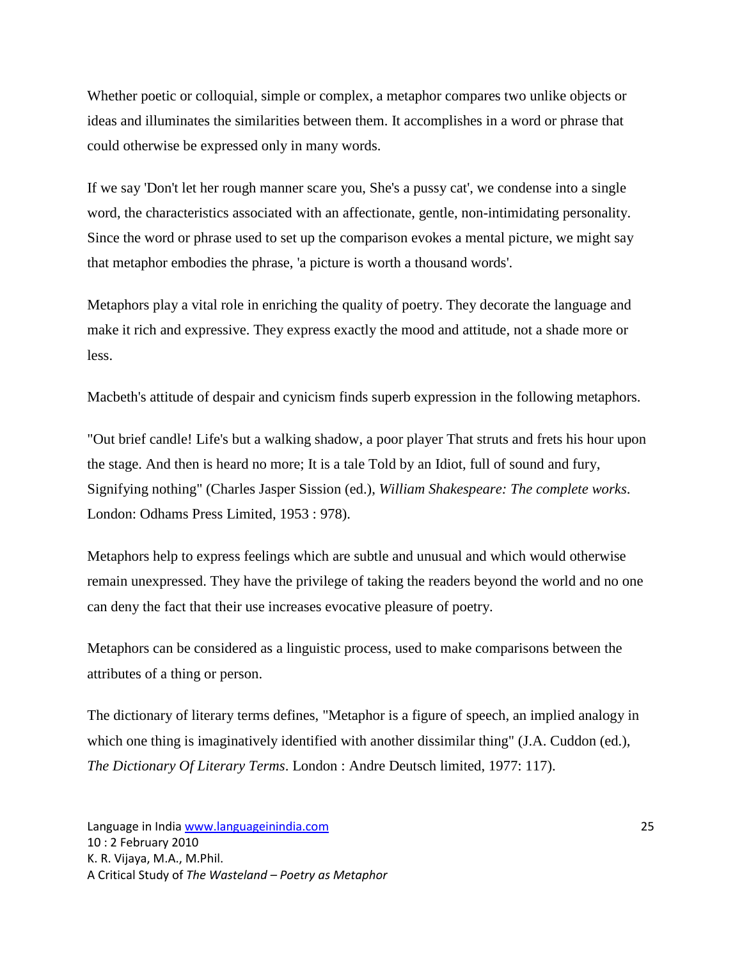Whether poetic or colloquial, simple or complex, a metaphor compares two unlike objects or ideas and illuminates the similarities between them. It accomplishes in a word or phrase that could otherwise be expressed only in many words.

If we say 'Don't let her rough manner scare you, She's a pussy cat', we condense into a single word, the characteristics associated with an affectionate, gentle, non-intimidating personality. Since the word or phrase used to set up the comparison evokes a mental picture, we might say that metaphor embodies the phrase, 'a picture is worth a thousand words'.

Metaphors play a vital role in enriching the quality of poetry. They decorate the language and make it rich and expressive. They express exactly the mood and attitude, not a shade more or less.

Macbeth's attitude of despair and cynicism finds superb expression in the following metaphors.

"Out brief candle! Life's but a walking shadow, a poor player That struts and frets his hour upon the stage. And then is heard no more; It is a tale Told by an Idiot, full of sound and fury, Signifying nothing" (Charles Jasper Sission (ed.), *William Shakespeare: The complete works*. London: Odhams Press Limited, 1953 : 978).

Metaphors help to express feelings which are subtle and unusual and which would otherwise remain unexpressed. They have the privilege of taking the readers beyond the world and no one can deny the fact that their use increases evocative pleasure of poetry.

Metaphors can be considered as a linguistic process, used to make comparisons between the attributes of a thing or person.

The dictionary of literary terms defines, "Metaphor is a figure of speech, an implied analogy in which one thing is imaginatively identified with another dissimilar thing" (J.A. Cuddon (ed.), *The Dictionary Of Literary Terms*. London : Andre Deutsch limited, 1977: 117).

Language in India www.languageinindia.com 25 10 : 2 February 2010 K. R. Vijaya, M.A., M.Phil. A Critical Study of *The Wasteland – Poetry as Metaphor*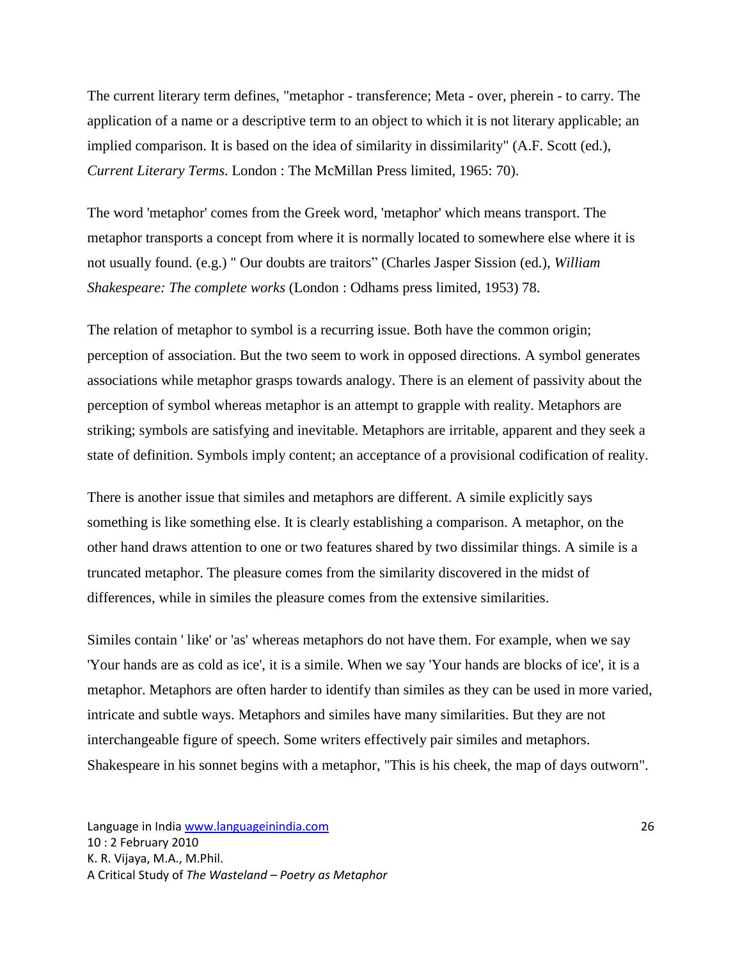The current literary term defines, "metaphor - transference; Meta - over, pherein - to carry. The application of a name or a descriptive term to an object to which it is not literary applicable; an implied comparison. It is based on the idea of similarity in dissimilarity" (A.F. Scott (ed.), *Current Literary Terms*. London : The McMillan Press limited, 1965: 70).

The word 'metaphor' comes from the Greek word, 'metaphor' which means transport. The metaphor transports a concept from where it is normally located to somewhere else where it is not usually found. (e.g.) " Our doubts are traitors" (Charles Jasper Sission (ed.), *William Shakespeare: The complete works* (London : Odhams press limited, 1953) 78.

The relation of metaphor to symbol is a recurring issue. Both have the common origin; perception of association. But the two seem to work in opposed directions. A symbol generates associations while metaphor grasps towards analogy. There is an element of passivity about the perception of symbol whereas metaphor is an attempt to grapple with reality. Metaphors are striking; symbols are satisfying and inevitable. Metaphors are irritable, apparent and they seek a state of definition. Symbols imply content; an acceptance of a provisional codification of reality.

There is another issue that similes and metaphors are different. A simile explicitly says something is like something else. It is clearly establishing a comparison. A metaphor, on the other hand draws attention to one or two features shared by two dissimilar things. A simile is a truncated metaphor. The pleasure comes from the similarity discovered in the midst of differences, while in similes the pleasure comes from the extensive similarities.

Similes contain ' like' or 'as' whereas metaphors do not have them. For example, when we say 'Your hands are as cold as ice', it is a simile. When we say 'Your hands are blocks of ice', it is a metaphor. Metaphors are often harder to identify than similes as they can be used in more varied, intricate and subtle ways. Metaphors and similes have many similarities. But they are not interchangeable figure of speech. Some writers effectively pair similes and metaphors. Shakespeare in his sonnet begins with a metaphor, "This is his cheek, the map of days outworn".

Language in India www.languageinindia.com 26 10 : 2 February 2010 K. R. Vijaya, M.A., M.Phil. A Critical Study of *The Wasteland – Poetry as Metaphor*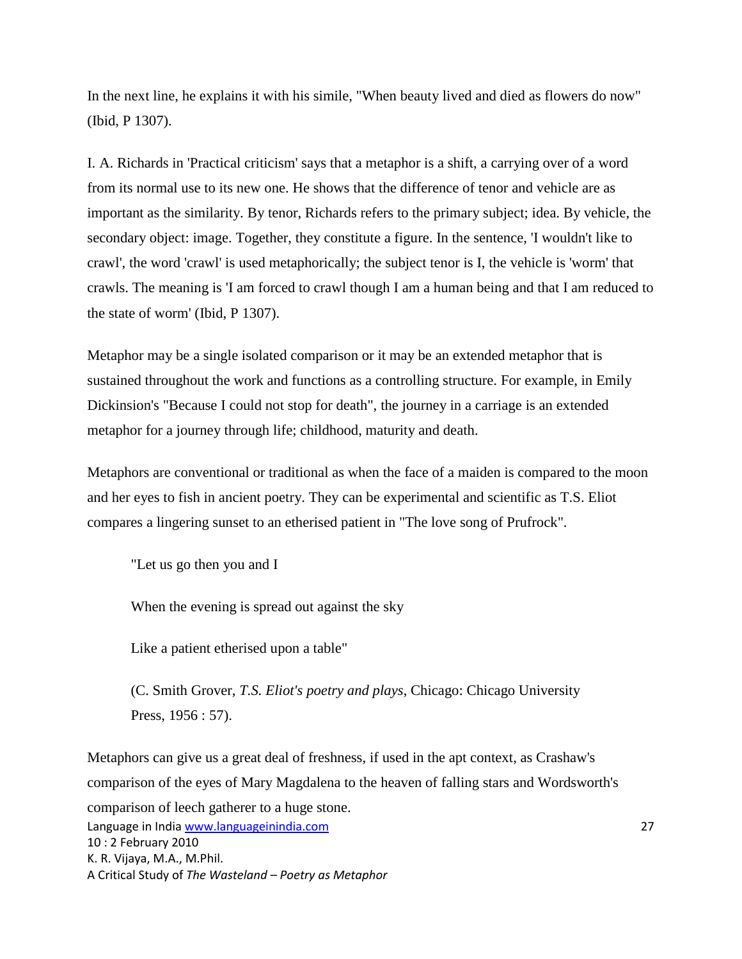In the next line, he explains it with his simile, "When beauty lived and died as flowers do now" (Ibid, P 1307).

I. A. Richards in 'Practical criticism' says that a metaphor is a shift, a carrying over of a word from its normal use to its new one. He shows that the difference of tenor and vehicle are as important as the similarity. By tenor, Richards refers to the primary subject; idea. By vehicle, the secondary object: image. Together, they constitute a figure. In the sentence, 'I wouldn't like to crawl', the word 'crawl' is used metaphorically; the subject tenor is I, the vehicle is 'worm' that crawls. The meaning is 'I am forced to crawl though I am a human being and that I am reduced to the state of worm' (Ibid, P 1307).

Metaphor may be a single isolated comparison or it may be an extended metaphor that is sustained throughout the work and functions as a controlling structure. For example, in Emily Dickinsion's "Because I could not stop for death", the journey in a carriage is an extended metaphor for a journey through life; childhood, maturity and death.

Metaphors are conventional or traditional as when the face of a maiden is compared to the moon and her eyes to fish in ancient poetry. They can be experimental and scientific as T.S. Eliot compares a lingering sunset to an etherised patient in "The love song of Prufrock".

"Let us go then you and I

When the evening is spread out against the sky

Like a patient etherised upon a table"

(C. Smith Grover, *T.S. Eliot's poetry and plays*, Chicago: Chicago University Press, 1956 : 57).

Language in India www.languageinindia.com 27 10 : 2 February 2010 K. R. Vijaya, M.A., M.Phil. A Critical Study of *The Wasteland – Poetry as Metaphor* Metaphors can give us a great deal of freshness, if used in the apt context, as Crashaw's comparison of the eyes of Mary Magdalena to the heaven of falling stars and Wordsworth's comparison of leech gatherer to a huge stone.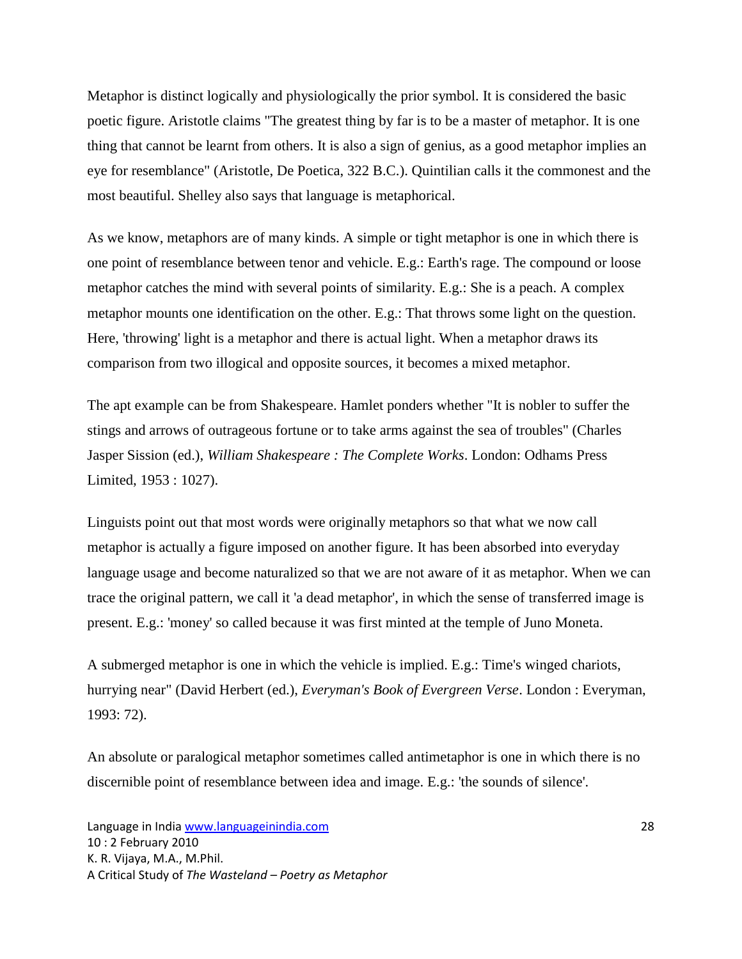Metaphor is distinct logically and physiologically the prior symbol. It is considered the basic poetic figure. Aristotle claims "The greatest thing by far is to be a master of metaphor. It is one thing that cannot be learnt from others. It is also a sign of genius, as a good metaphor implies an eye for resemblance" (Aristotle, De Poetica, 322 B.C.). Quintilian calls it the commonest and the most beautiful. Shelley also says that language is metaphorical.

As we know, metaphors are of many kinds. A simple or tight metaphor is one in which there is one point of resemblance between tenor and vehicle. E.g.: Earth's rage. The compound or loose metaphor catches the mind with several points of similarity. E.g.: She is a peach. A complex metaphor mounts one identification on the other. E.g.: That throws some light on the question. Here, 'throwing' light is a metaphor and there is actual light. When a metaphor draws its comparison from two illogical and opposite sources, it becomes a mixed metaphor.

The apt example can be from Shakespeare. Hamlet ponders whether "It is nobler to suffer the stings and arrows of outrageous fortune or to take arms against the sea of troubles" (Charles Jasper Sission (ed.), *William Shakespeare : The Complete Works*. London: Odhams Press Limited, 1953 : 1027).

Linguists point out that most words were originally metaphors so that what we now call metaphor is actually a figure imposed on another figure. It has been absorbed into everyday language usage and become naturalized so that we are not aware of it as metaphor. When we can trace the original pattern, we call it 'a dead metaphor', in which the sense of transferred image is present. E.g.: 'money' so called because it was first minted at the temple of Juno Moneta.

A submerged metaphor is one in which the vehicle is implied. E.g.: Time's winged chariots, hurrying near" (David Herbert (ed.), *Everyman's Book of Evergreen Verse*. London : Everyman, 1993: 72).

An absolute or paralogical metaphor sometimes called antimetaphor is one in which there is no discernible point of resemblance between idea and image. E.g.: 'the sounds of silence'.

Language in India www.languageinindia.com 28 10 : 2 February 2010 K. R. Vijaya, M.A., M.Phil. A Critical Study of *The Wasteland – Poetry as Metaphor*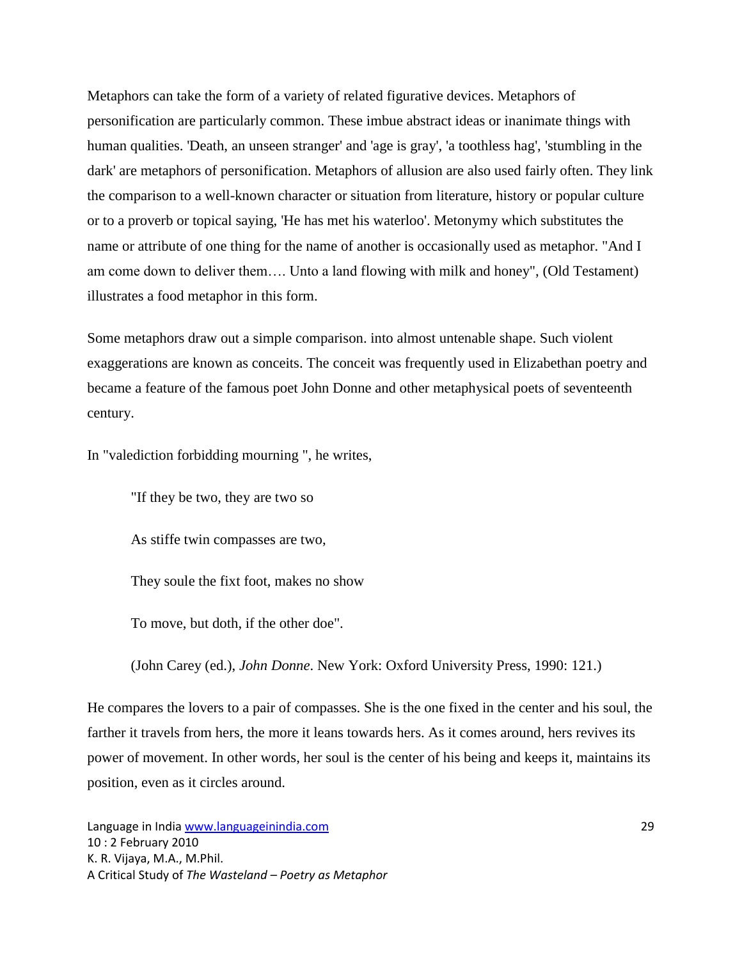Metaphors can take the form of a variety of related figurative devices. Metaphors of personification are particularly common. These imbue abstract ideas or inanimate things with human qualities. 'Death, an unseen stranger' and 'age is gray', 'a toothless hag', 'stumbling in the dark' are metaphors of personification. Metaphors of allusion are also used fairly often. They link the comparison to a well-known character or situation from literature, history or popular culture or to a proverb or topical saying, 'He has met his waterloo'. Metonymy which substitutes the name or attribute of one thing for the name of another is occasionally used as metaphor. "And I am come down to deliver them…. Unto a land flowing with milk and honey", (Old Testament) illustrates a food metaphor in this form.

Some metaphors draw out a simple comparison. into almost untenable shape. Such violent exaggerations are known as conceits. The conceit was frequently used in Elizabethan poetry and became a feature of the famous poet John Donne and other metaphysical poets of seventeenth century.

In "valediction forbidding mourning ", he writes,

"If they be two, they are two so

As stiffe twin compasses are two,

They soule the fixt foot, makes no show

To move, but doth, if the other doe".

(John Carey (ed.), *John Donne*. New York: Oxford University Press, 1990: 121.)

He compares the lovers to a pair of compasses. She is the one fixed in the center and his soul, the farther it travels from hers, the more it leans towards hers. As it comes around, hers revives its power of movement. In other words, her soul is the center of his being and keeps it, maintains its position, even as it circles around.

Language in India www.languageinindia.com 29 10 : 2 February 2010 K. R. Vijaya, M.A., M.Phil. A Critical Study of *The Wasteland – Poetry as Metaphor*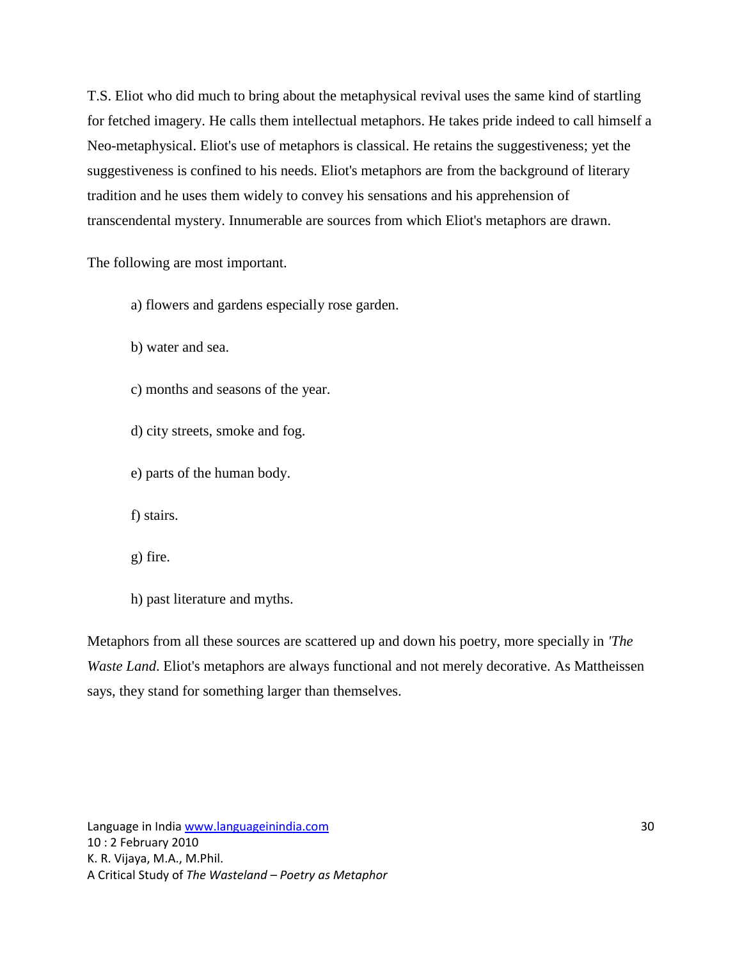T.S. Eliot who did much to bring about the metaphysical revival uses the same kind of startling for fetched imagery. He calls them intellectual metaphors. He takes pride indeed to call himself a Neo-metaphysical. Eliot's use of metaphors is classical. He retains the suggestiveness; yet the suggestiveness is confined to his needs. Eliot's metaphors are from the background of literary tradition and he uses them widely to convey his sensations and his apprehension of transcendental mystery. Innumerable are sources from which Eliot's metaphors are drawn.

The following are most important.

- a) flowers and gardens especially rose garden.
- b) water and sea.
- c) months and seasons of the year.
- d) city streets, smoke and fog.
- e) parts of the human body.

f) stairs.

- g) fire.
- h) past literature and myths.

Metaphors from all these sources are scattered up and down his poetry, more specially in *'The Waste Land*. Eliot's metaphors are always functional and not merely decorative. As Mattheissen says, they stand for something larger than themselves.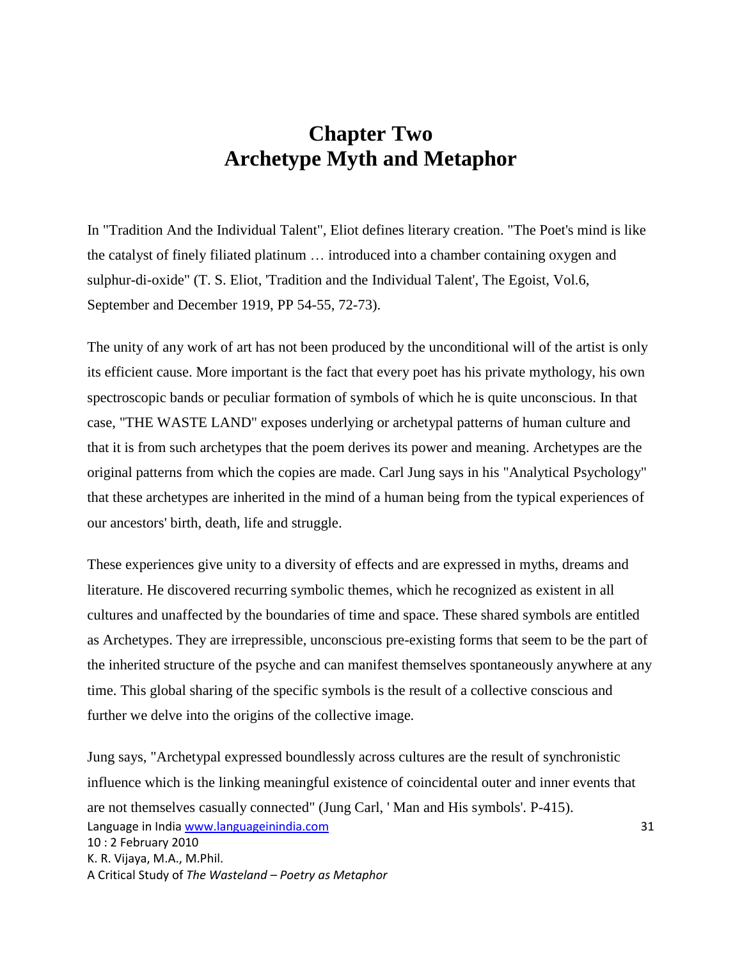# **Chapter Two Archetype Myth and Metaphor**

In "Tradition And the Individual Talent", Eliot defines literary creation. "The Poet's mind is like the catalyst of finely filiated platinum … introduced into a chamber containing oxygen and sulphur-di-oxide" (T. S. Eliot, 'Tradition and the Individual Talent', The Egoist, Vol.6, September and December 1919, PP 54-55, 72-73).

The unity of any work of art has not been produced by the unconditional will of the artist is only its efficient cause. More important is the fact that every poet has his private mythology, his own spectroscopic bands or peculiar formation of symbols of which he is quite unconscious. In that case, "THE WASTE LAND" exposes underlying or archetypal patterns of human culture and that it is from such archetypes that the poem derives its power and meaning. Archetypes are the original patterns from which the copies are made. Carl Jung says in his "Analytical Psychology" that these archetypes are inherited in the mind of a human being from the typical experiences of our ancestors' birth, death, life and struggle.

These experiences give unity to a diversity of effects and are expressed in myths, dreams and literature. He discovered recurring symbolic themes, which he recognized as existent in all cultures and unaffected by the boundaries of time and space. These shared symbols are entitled as Archetypes. They are irrepressible, unconscious pre-existing forms that seem to be the part of the inherited structure of the psyche and can manifest themselves spontaneously anywhere at any time. This global sharing of the specific symbols is the result of a collective conscious and further we delve into the origins of the collective image.

Language in India www.languageinindia.com 31 10 : 2 February 2010 K. R. Vijaya, M.A., M.Phil. A Critical Study of *The Wasteland – Poetry as Metaphor* Jung says, "Archetypal expressed boundlessly across cultures are the result of synchronistic influence which is the linking meaningful existence of coincidental outer and inner events that are not themselves casually connected" (Jung Carl, ' Man and His symbols'. P-415).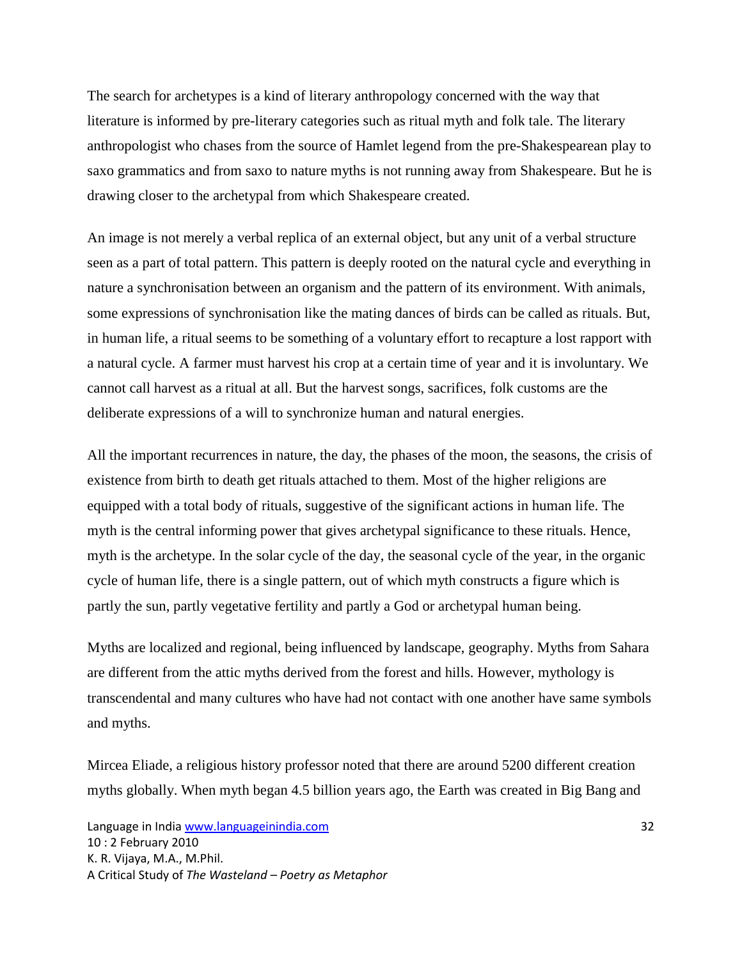The search for archetypes is a kind of literary anthropology concerned with the way that literature is informed by pre-literary categories such as ritual myth and folk tale. The literary anthropologist who chases from the source of Hamlet legend from the pre-Shakespearean play to saxo grammatics and from saxo to nature myths is not running away from Shakespeare. But he is drawing closer to the archetypal from which Shakespeare created.

An image is not merely a verbal replica of an external object, but any unit of a verbal structure seen as a part of total pattern. This pattern is deeply rooted on the natural cycle and everything in nature a synchronisation between an organism and the pattern of its environment. With animals, some expressions of synchronisation like the mating dances of birds can be called as rituals. But, in human life, a ritual seems to be something of a voluntary effort to recapture a lost rapport with a natural cycle. A farmer must harvest his crop at a certain time of year and it is involuntary. We cannot call harvest as a ritual at all. But the harvest songs, sacrifices, folk customs are the deliberate expressions of a will to synchronize human and natural energies.

All the important recurrences in nature, the day, the phases of the moon, the seasons, the crisis of existence from birth to death get rituals attached to them. Most of the higher religions are equipped with a total body of rituals, suggestive of the significant actions in human life. The myth is the central informing power that gives archetypal significance to these rituals. Hence, myth is the archetype. In the solar cycle of the day, the seasonal cycle of the year, in the organic cycle of human life, there is a single pattern, out of which myth constructs a figure which is partly the sun, partly vegetative fertility and partly a God or archetypal human being.

Myths are localized and regional, being influenced by landscape, geography. Myths from Sahara are different from the attic myths derived from the forest and hills. However, mythology is transcendental and many cultures who have had not contact with one another have same symbols and myths.

Mircea Eliade, a religious history professor noted that there are around 5200 different creation myths globally. When myth began 4.5 billion years ago, the Earth was created in Big Bang and

Language in India www.languageinindia.com 32 10 : 2 February 2010 K. R. Vijaya, M.A., M.Phil. A Critical Study of *The Wasteland – Poetry as Metaphor*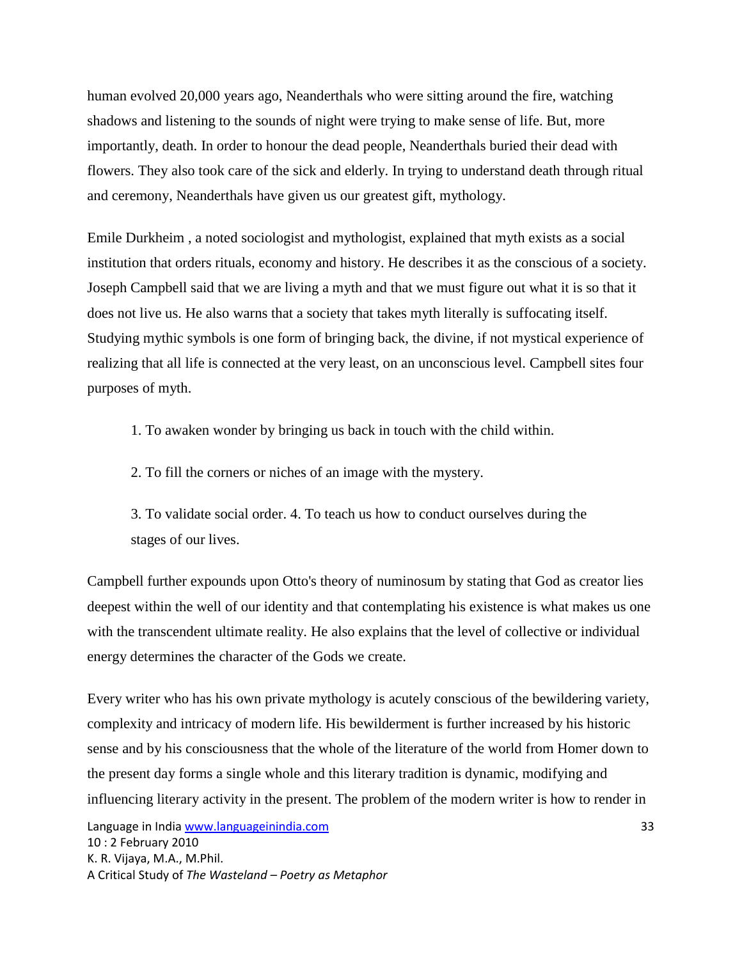human evolved 20,000 years ago, Neanderthals who were sitting around the fire, watching shadows and listening to the sounds of night were trying to make sense of life. But, more importantly, death. In order to honour the dead people, Neanderthals buried their dead with flowers. They also took care of the sick and elderly. In trying to understand death through ritual and ceremony, Neanderthals have given us our greatest gift, mythology.

Emile Durkheim , a noted sociologist and mythologist, explained that myth exists as a social institution that orders rituals, economy and history. He describes it as the conscious of a society. Joseph Campbell said that we are living a myth and that we must figure out what it is so that it does not live us. He also warns that a society that takes myth literally is suffocating itself. Studying mythic symbols is one form of bringing back, the divine, if not mystical experience of realizing that all life is connected at the very least, on an unconscious level. Campbell sites four purposes of myth.

1. To awaken wonder by bringing us back in touch with the child within.

2. To fill the corners or niches of an image with the mystery.

3. To validate social order. 4. To teach us how to conduct ourselves during the stages of our lives.

Campbell further expounds upon Otto's theory of numinosum by stating that God as creator lies deepest within the well of our identity and that contemplating his existence is what makes us one with the transcendent ultimate reality. He also explains that the level of collective or individual energy determines the character of the Gods we create.

Every writer who has his own private mythology is acutely conscious of the bewildering variety, complexity and intricacy of modern life. His bewilderment is further increased by his historic sense and by his consciousness that the whole of the literature of the world from Homer down to the present day forms a single whole and this literary tradition is dynamic, modifying and influencing literary activity in the present. The problem of the modern writer is how to render in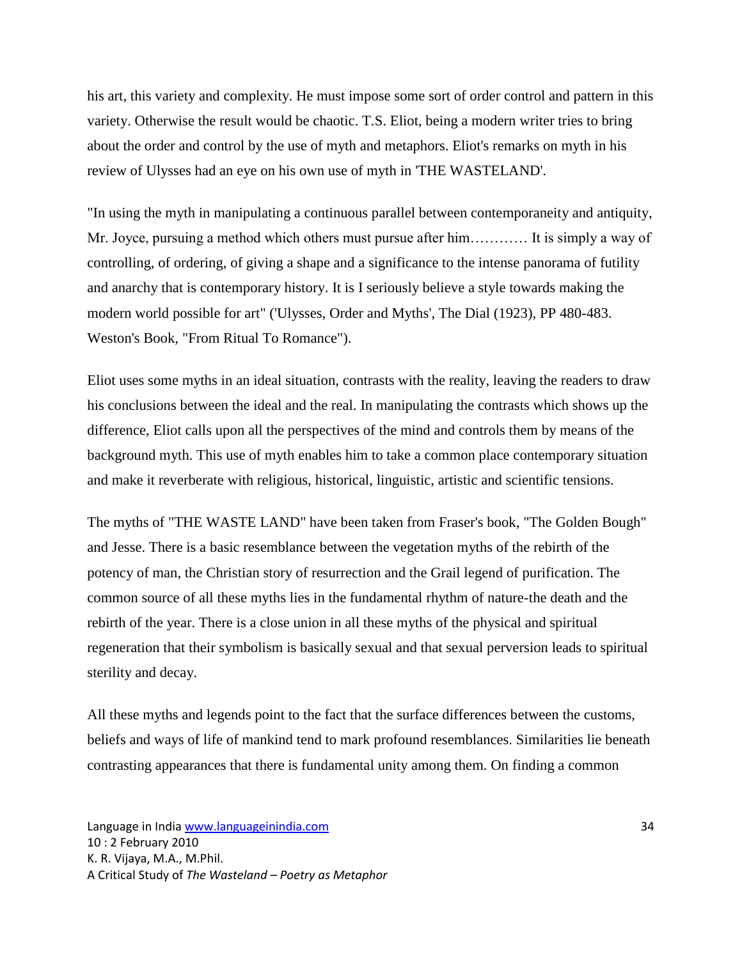his art, this variety and complexity. He must impose some sort of order control and pattern in this variety. Otherwise the result would be chaotic. T.S. Eliot, being a modern writer tries to bring about the order and control by the use of myth and metaphors. Eliot's remarks on myth in his review of Ulysses had an eye on his own use of myth in 'THE WASTELAND'.

"In using the myth in manipulating a continuous parallel between contemporaneity and antiquity, Mr. Joyce, pursuing a method which others must pursue after him………… It is simply a way of controlling, of ordering, of giving a shape and a significance to the intense panorama of futility and anarchy that is contemporary history. It is I seriously believe a style towards making the modern world possible for art" ('Ulysses, Order and Myths', The Dial (1923), PP 480-483. Weston's Book, "From Ritual To Romance").

Eliot uses some myths in an ideal situation, contrasts with the reality, leaving the readers to draw his conclusions between the ideal and the real. In manipulating the contrasts which shows up the difference, Eliot calls upon all the perspectives of the mind and controls them by means of the background myth. This use of myth enables him to take a common place contemporary situation and make it reverberate with religious, historical, linguistic, artistic and scientific tensions.

The myths of "THE WASTE LAND" have been taken from Fraser's book, "The Golden Bough" and Jesse. There is a basic resemblance between the vegetation myths of the rebirth of the potency of man, the Christian story of resurrection and the Grail legend of purification. The common source of all these myths lies in the fundamental rhythm of nature-the death and the rebirth of the year. There is a close union in all these myths of the physical and spiritual regeneration that their symbolism is basically sexual and that sexual perversion leads to spiritual sterility and decay.

All these myths and legends point to the fact that the surface differences between the customs, beliefs and ways of life of mankind tend to mark profound resemblances. Similarities lie beneath contrasting appearances that there is fundamental unity among them. On finding a common

Language in India www.languageinindia.com **34** and 34 10 : 2 February 2010 K. R. Vijaya, M.A., M.Phil. A Critical Study of *The Wasteland – Poetry as Metaphor*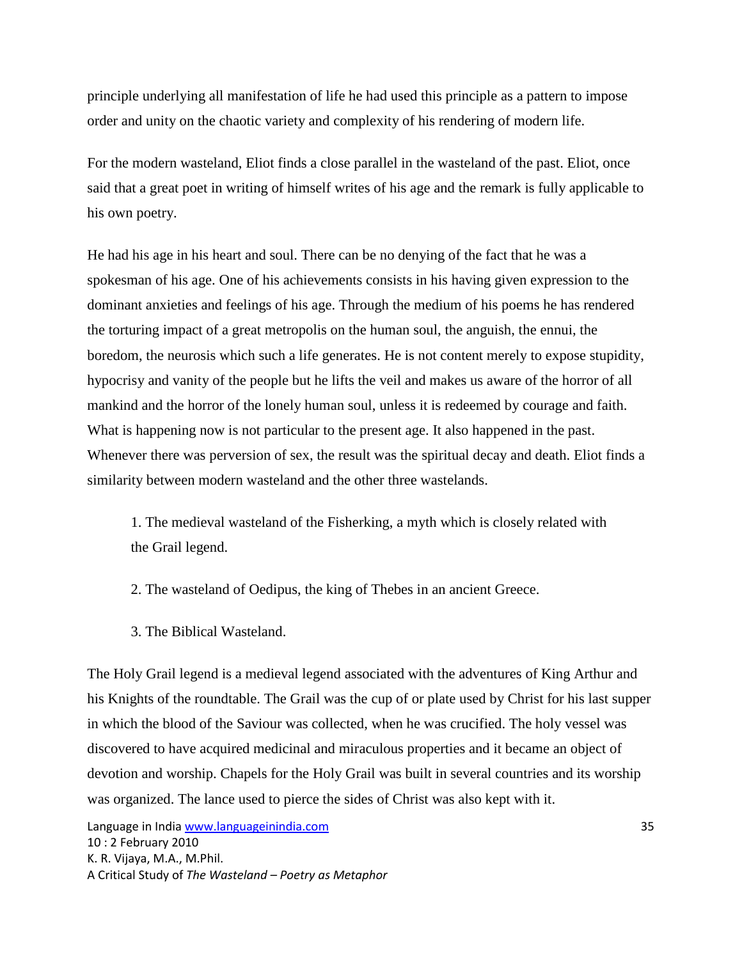principle underlying all manifestation of life he had used this principle as a pattern to impose order and unity on the chaotic variety and complexity of his rendering of modern life.

For the modern wasteland, Eliot finds a close parallel in the wasteland of the past. Eliot, once said that a great poet in writing of himself writes of his age and the remark is fully applicable to his own poetry.

He had his age in his heart and soul. There can be no denying of the fact that he was a spokesman of his age. One of his achievements consists in his having given expression to the dominant anxieties and feelings of his age. Through the medium of his poems he has rendered the torturing impact of a great metropolis on the human soul, the anguish, the ennui, the boredom, the neurosis which such a life generates. He is not content merely to expose stupidity, hypocrisy and vanity of the people but he lifts the veil and makes us aware of the horror of all mankind and the horror of the lonely human soul, unless it is redeemed by courage and faith. What is happening now is not particular to the present age. It also happened in the past. Whenever there was perversion of sex, the result was the spiritual decay and death. Eliot finds a similarity between modern wasteland and the other three wastelands.

1. The medieval wasteland of the Fisherking, a myth which is closely related with the Grail legend.

2. The wasteland of Oedipus, the king of Thebes in an ancient Greece.

3. The Biblical Wasteland.

The Holy Grail legend is a medieval legend associated with the adventures of King Arthur and his Knights of the roundtable. The Grail was the cup of or plate used by Christ for his last supper in which the blood of the Saviour was collected, when he was crucified. The holy vessel was discovered to have acquired medicinal and miraculous properties and it became an object of devotion and worship. Chapels for the Holy Grail was built in several countries and its worship was organized. The lance used to pierce the sides of Christ was also kept with it.

Language in India www.languageinindia.com 35 10 : 2 February 2010 K. R. Vijaya, M.A., M.Phil. A Critical Study of *The Wasteland – Poetry as Metaphor*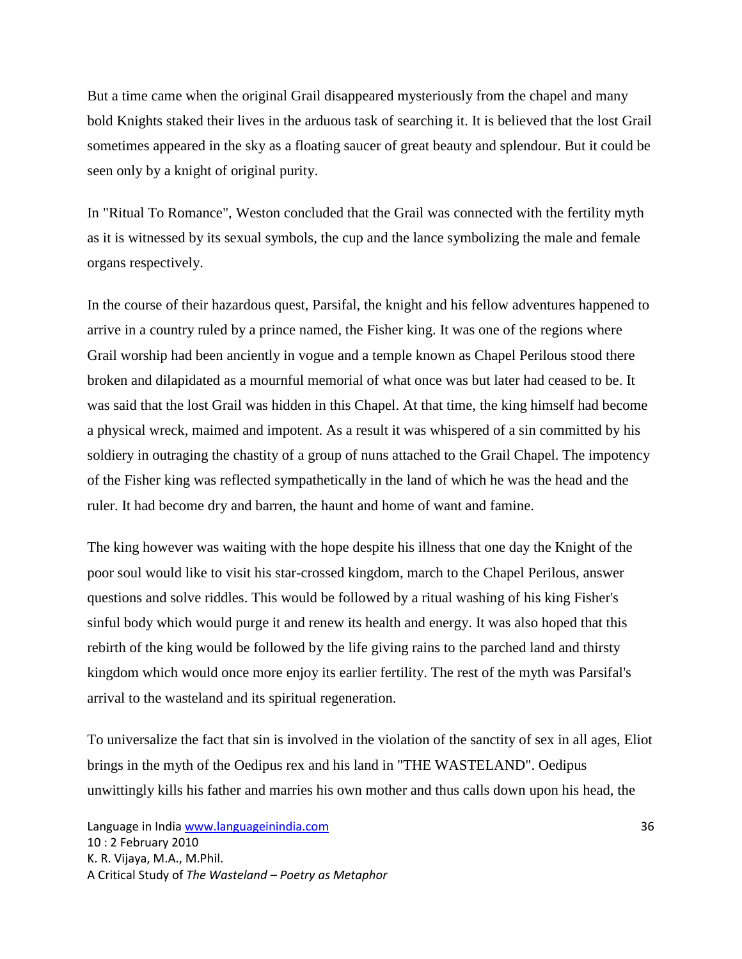But a time came when the original Grail disappeared mysteriously from the chapel and many bold Knights staked their lives in the arduous task of searching it. It is believed that the lost Grail sometimes appeared in the sky as a floating saucer of great beauty and splendour. But it could be seen only by a knight of original purity.

In "Ritual To Romance", Weston concluded that the Grail was connected with the fertility myth as it is witnessed by its sexual symbols, the cup and the lance symbolizing the male and female organs respectively.

In the course of their hazardous quest, Parsifal, the knight and his fellow adventures happened to arrive in a country ruled by a prince named, the Fisher king. It was one of the regions where Grail worship had been anciently in vogue and a temple known as Chapel Perilous stood there broken and dilapidated as a mournful memorial of what once was but later had ceased to be. It was said that the lost Grail was hidden in this Chapel. At that time, the king himself had become a physical wreck, maimed and impotent. As a result it was whispered of a sin committed by his soldiery in outraging the chastity of a group of nuns attached to the Grail Chapel. The impotency of the Fisher king was reflected sympathetically in the land of which he was the head and the ruler. It had become dry and barren, the haunt and home of want and famine.

The king however was waiting with the hope despite his illness that one day the Knight of the poor soul would like to visit his star-crossed kingdom, march to the Chapel Perilous, answer questions and solve riddles. This would be followed by a ritual washing of his king Fisher's sinful body which would purge it and renew its health and energy. It was also hoped that this rebirth of the king would be followed by the life giving rains to the parched land and thirsty kingdom which would once more enjoy its earlier fertility. The rest of the myth was Parsifal's arrival to the wasteland and its spiritual regeneration.

To universalize the fact that sin is involved in the violation of the sanctity of sex in all ages, Eliot brings in the myth of the Oedipus rex and his land in "THE WASTELAND". Oedipus unwittingly kills his father and marries his own mother and thus calls down upon his head, the

Language in India www.languageinindia.com 36 10 : 2 February 2010 K. R. Vijaya, M.A., M.Phil. A Critical Study of *The Wasteland – Poetry as Metaphor*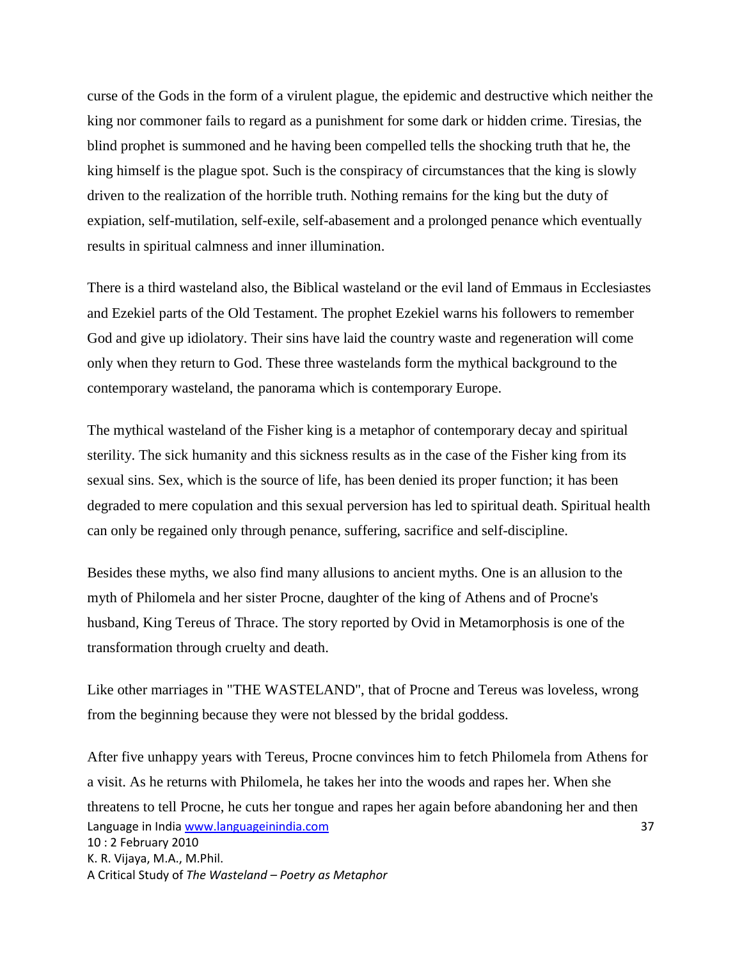curse of the Gods in the form of a virulent plague, the epidemic and destructive which neither the king nor commoner fails to regard as a punishment for some dark or hidden crime. Tiresias, the blind prophet is summoned and he having been compelled tells the shocking truth that he, the king himself is the plague spot. Such is the conspiracy of circumstances that the king is slowly driven to the realization of the horrible truth. Nothing remains for the king but the duty of expiation, self-mutilation, self-exile, self-abasement and a prolonged penance which eventually results in spiritual calmness and inner illumination.

There is a third wasteland also, the Biblical wasteland or the evil land of Emmaus in Ecclesiastes and Ezekiel parts of the Old Testament. The prophet Ezekiel warns his followers to remember God and give up idiolatory. Their sins have laid the country waste and regeneration will come only when they return to God. These three wastelands form the mythical background to the contemporary wasteland, the panorama which is contemporary Europe.

The mythical wasteland of the Fisher king is a metaphor of contemporary decay and spiritual sterility. The sick humanity and this sickness results as in the case of the Fisher king from its sexual sins. Sex, which is the source of life, has been denied its proper function; it has been degraded to mere copulation and this sexual perversion has led to spiritual death. Spiritual health can only be regained only through penance, suffering, sacrifice and self-discipline.

Besides these myths, we also find many allusions to ancient myths. One is an allusion to the myth of Philomela and her sister Procne, daughter of the king of Athens and of Procne's husband, King Tereus of Thrace. The story reported by Ovid in Metamorphosis is one of the transformation through cruelty and death.

Like other marriages in "THE WASTELAND", that of Procne and Tereus was loveless, wrong from the beginning because they were not blessed by the bridal goddess.

Language in India www.languageinindia.com 37 10 : 2 February 2010 K. R. Vijaya, M.A., M.Phil. A Critical Study of *The Wasteland – Poetry as Metaphor* After five unhappy years with Tereus, Procne convinces him to fetch Philomela from Athens for a visit. As he returns with Philomela, he takes her into the woods and rapes her. When she threatens to tell Procne, he cuts her tongue and rapes her again before abandoning her and then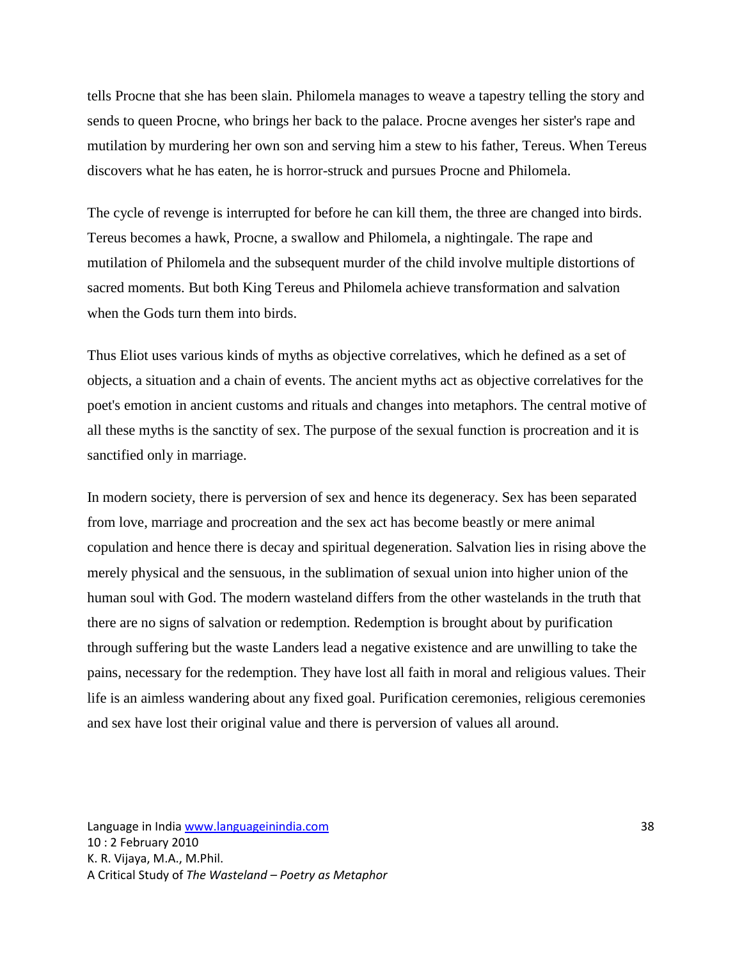tells Procne that she has been slain. Philomela manages to weave a tapestry telling the story and sends to queen Procne, who brings her back to the palace. Procne avenges her sister's rape and mutilation by murdering her own son and serving him a stew to his father, Tereus. When Tereus discovers what he has eaten, he is horror-struck and pursues Procne and Philomela.

The cycle of revenge is interrupted for before he can kill them, the three are changed into birds. Tereus becomes a hawk, Procne, a swallow and Philomela, a nightingale. The rape and mutilation of Philomela and the subsequent murder of the child involve multiple distortions of sacred moments. But both King Tereus and Philomela achieve transformation and salvation when the Gods turn them into birds.

Thus Eliot uses various kinds of myths as objective correlatives, which he defined as a set of objects, a situation and a chain of events. The ancient myths act as objective correlatives for the poet's emotion in ancient customs and rituals and changes into metaphors. The central motive of all these myths is the sanctity of sex. The purpose of the sexual function is procreation and it is sanctified only in marriage.

In modern society, there is perversion of sex and hence its degeneracy. Sex has been separated from love, marriage and procreation and the sex act has become beastly or mere animal copulation and hence there is decay and spiritual degeneration. Salvation lies in rising above the merely physical and the sensuous, in the sublimation of sexual union into higher union of the human soul with God. The modern wasteland differs from the other wastelands in the truth that there are no signs of salvation or redemption. Redemption is brought about by purification through suffering but the waste Landers lead a negative existence and are unwilling to take the pains, necessary for the redemption. They have lost all faith in moral and religious values. Their life is an aimless wandering about any fixed goal. Purification ceremonies, religious ceremonies and sex have lost their original value and there is perversion of values all around.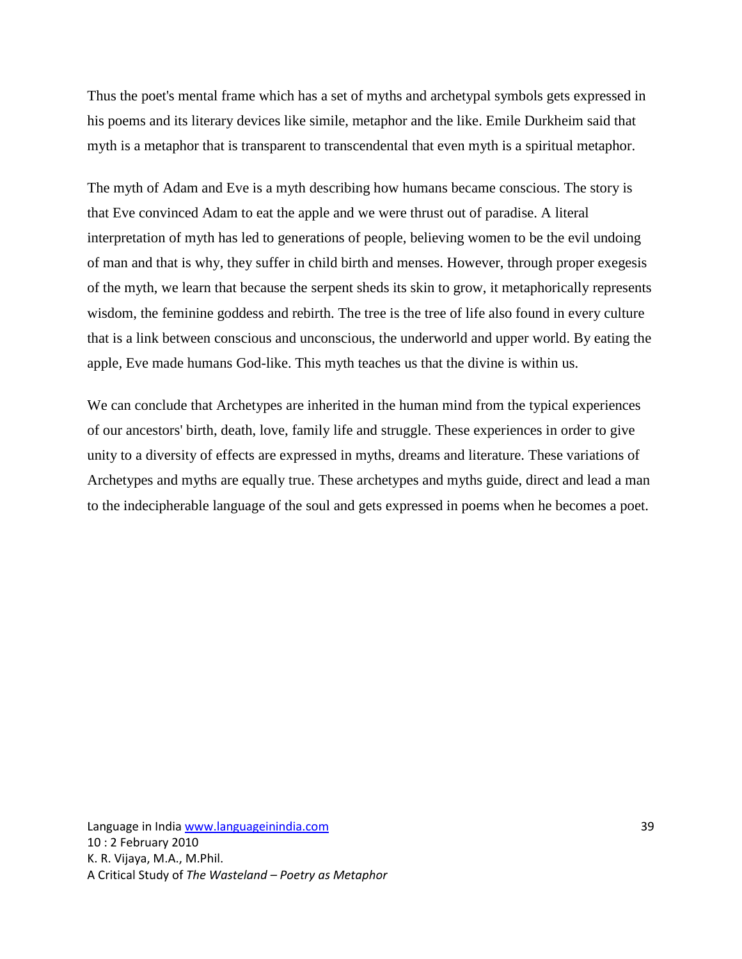Thus the poet's mental frame which has a set of myths and archetypal symbols gets expressed in his poems and its literary devices like simile, metaphor and the like. Emile Durkheim said that myth is a metaphor that is transparent to transcendental that even myth is a spiritual metaphor.

The myth of Adam and Eve is a myth describing how humans became conscious. The story is that Eve convinced Adam to eat the apple and we were thrust out of paradise. A literal interpretation of myth has led to generations of people, believing women to be the evil undoing of man and that is why, they suffer in child birth and menses. However, through proper exegesis of the myth, we learn that because the serpent sheds its skin to grow, it metaphorically represents wisdom, the feminine goddess and rebirth. The tree is the tree of life also found in every culture that is a link between conscious and unconscious, the underworld and upper world. By eating the apple, Eve made humans God-like. This myth teaches us that the divine is within us.

We can conclude that Archetypes are inherited in the human mind from the typical experiences of our ancestors' birth, death, love, family life and struggle. These experiences in order to give unity to a diversity of effects are expressed in myths, dreams and literature. These variations of Archetypes and myths are equally true. These archetypes and myths guide, direct and lead a man to the indecipherable language of the soul and gets expressed in poems when he becomes a poet.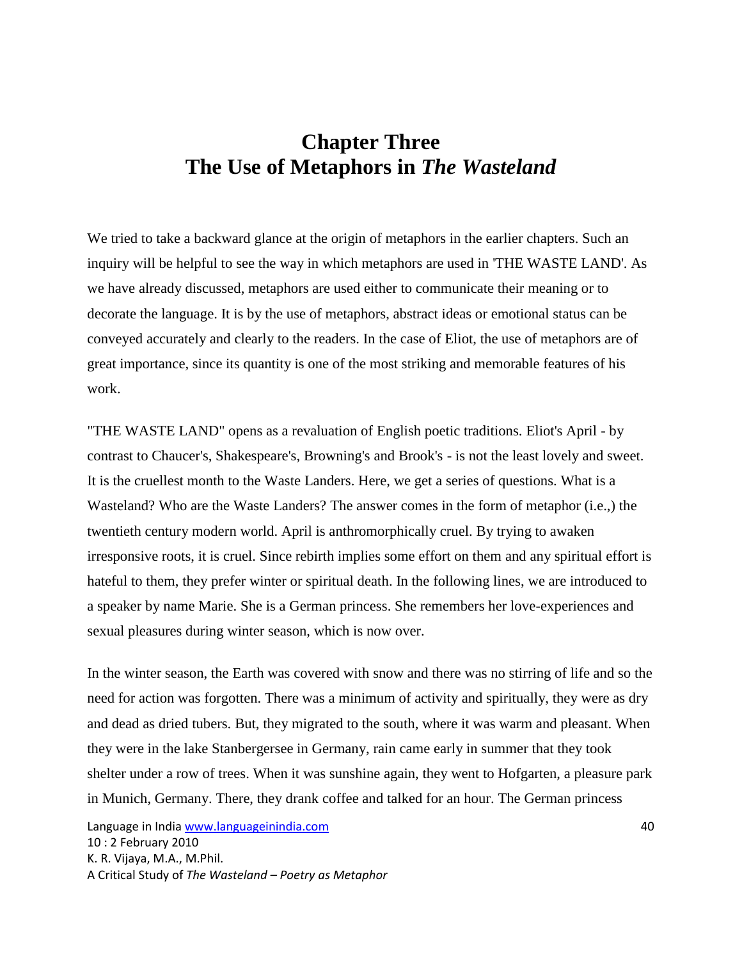#### **Chapter Three The Use of Metaphors in** *The Wasteland*

We tried to take a backward glance at the origin of metaphors in the earlier chapters. Such an inquiry will be helpful to see the way in which metaphors are used in 'THE WASTE LAND'. As we have already discussed, metaphors are used either to communicate their meaning or to decorate the language. It is by the use of metaphors, abstract ideas or emotional status can be conveyed accurately and clearly to the readers. In the case of Eliot, the use of metaphors are of great importance, since its quantity is one of the most striking and memorable features of his work.

"THE WASTE LAND" opens as a revaluation of English poetic traditions. Eliot's April - by contrast to Chaucer's, Shakespeare's, Browning's and Brook's - is not the least lovely and sweet. It is the cruellest month to the Waste Landers. Here, we get a series of questions. What is a Wasteland? Who are the Waste Landers? The answer comes in the form of metaphor (i.e.,) the twentieth century modern world. April is anthromorphically cruel. By trying to awaken irresponsive roots, it is cruel. Since rebirth implies some effort on them and any spiritual effort is hateful to them, they prefer winter or spiritual death. In the following lines, we are introduced to a speaker by name Marie. She is a German princess. She remembers her love-experiences and sexual pleasures during winter season, which is now over.

In the winter season, the Earth was covered with snow and there was no stirring of life and so the need for action was forgotten. There was a minimum of activity and spiritually, they were as dry and dead as dried tubers. But, they migrated to the south, where it was warm and pleasant. When they were in the lake Stanbergersee in Germany, rain came early in summer that they took shelter under a row of trees. When it was sunshine again, they went to Hofgarten, a pleasure park in Munich, Germany. There, they drank coffee and talked for an hour. The German princess

Language in India www.languageinindia.com **Accommunity 10 and 10** and 10 and 10 and 10 and 10 and 10 and 10 and 10 and 10 and 10 and 10 and 10 and 10 and 10 and 10 and 10 and 10 and 10 and 10 and 10 and 10 and 10 and 10 an 10 : 2 February 2010 K. R. Vijaya, M.A., M.Phil. A Critical Study of *The Wasteland – Poetry as Metaphor*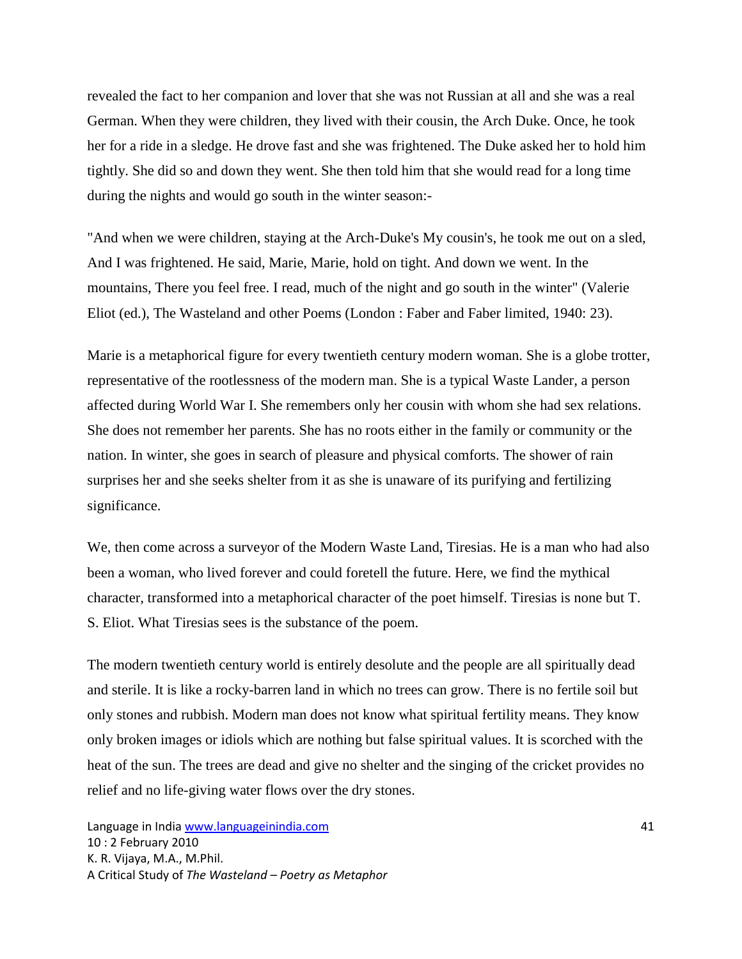revealed the fact to her companion and lover that she was not Russian at all and she was a real German. When they were children, they lived with their cousin, the Arch Duke. Once, he took her for a ride in a sledge. He drove fast and she was frightened. The Duke asked her to hold him tightly. She did so and down they went. She then told him that she would read for a long time during the nights and would go south in the winter season:-

"And when we were children, staying at the Arch-Duke's My cousin's, he took me out on a sled, And I was frightened. He said, Marie, Marie, hold on tight. And down we went. In the mountains, There you feel free. I read, much of the night and go south in the winter" (Valerie Eliot (ed.), The Wasteland and other Poems (London : Faber and Faber limited, 1940: 23).

Marie is a metaphorical figure for every twentieth century modern woman. She is a globe trotter, representative of the rootlessness of the modern man. She is a typical Waste Lander, a person affected during World War I. She remembers only her cousin with whom she had sex relations. She does not remember her parents. She has no roots either in the family or community or the nation. In winter, she goes in search of pleasure and physical comforts. The shower of rain surprises her and she seeks shelter from it as she is unaware of its purifying and fertilizing significance.

We, then come across a surveyor of the Modern Waste Land, Tiresias. He is a man who had also been a woman, who lived forever and could foretell the future. Here, we find the mythical character, transformed into a metaphorical character of the poet himself. Tiresias is none but T. S. Eliot. What Tiresias sees is the substance of the poem.

The modern twentieth century world is entirely desolute and the people are all spiritually dead and sterile. It is like a rocky-barren land in which no trees can grow. There is no fertile soil but only stones and rubbish. Modern man does not know what spiritual fertility means. They know only broken images or idiols which are nothing but false spiritual values. It is scorched with the heat of the sun. The trees are dead and give no shelter and the singing of the cricket provides no relief and no life-giving water flows over the dry stones.

Language in India www.languageinindia.com 41 10 : 2 February 2010 K. R. Vijaya, M.A., M.Phil. A Critical Study of *The Wasteland – Poetry as Metaphor*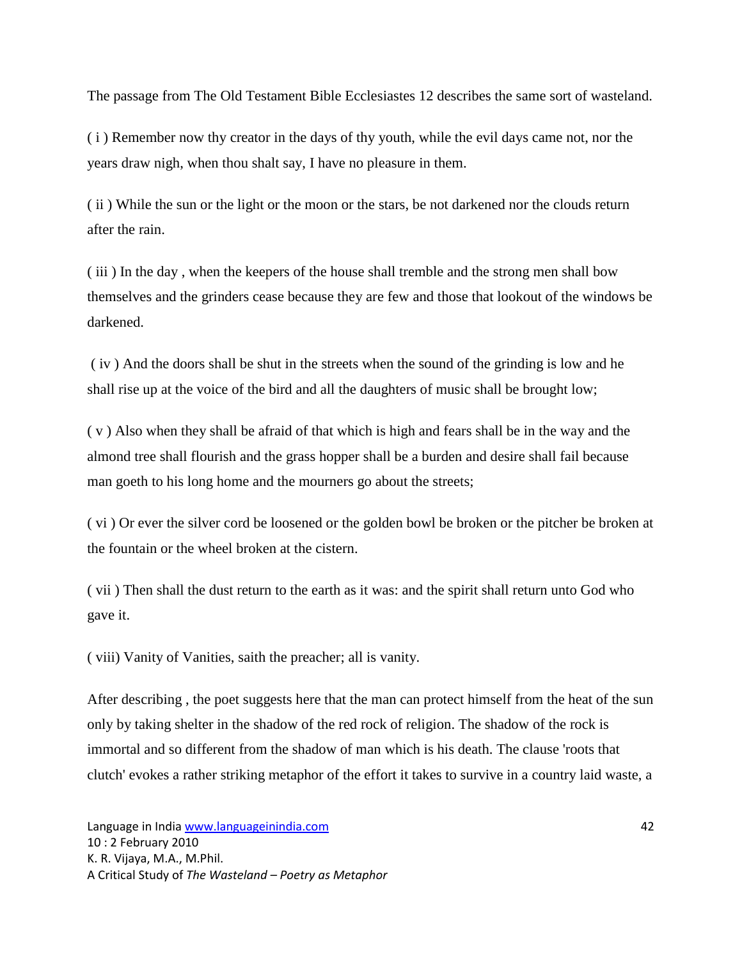The passage from The Old Testament Bible Ecclesiastes 12 describes the same sort of wasteland.

( i ) Remember now thy creator in the days of thy youth, while the evil days came not, nor the years draw nigh, when thou shalt say, I have no pleasure in them.

( ii ) While the sun or the light or the moon or the stars, be not darkened nor the clouds return after the rain.

( iii ) In the day , when the keepers of the house shall tremble and the strong men shall bow themselves and the grinders cease because they are few and those that lookout of the windows be darkened.

( iv ) And the doors shall be shut in the streets when the sound of the grinding is low and he shall rise up at the voice of the bird and all the daughters of music shall be brought low;

( v ) Also when they shall be afraid of that which is high and fears shall be in the way and the almond tree shall flourish and the grass hopper shall be a burden and desire shall fail because man goeth to his long home and the mourners go about the streets;

( vi ) Or ever the silver cord be loosened or the golden bowl be broken or the pitcher be broken at the fountain or the wheel broken at the cistern.

( vii ) Then shall the dust return to the earth as it was: and the spirit shall return unto God who gave it.

( viii) Vanity of Vanities, saith the preacher; all is vanity.

After describing , the poet suggests here that the man can protect himself from the heat of the sun only by taking shelter in the shadow of the red rock of religion. The shadow of the rock is immortal and so different from the shadow of man which is his death. The clause 'roots that clutch' evokes a rather striking metaphor of the effort it takes to survive in a country laid waste, a

Language in India www.languageinindia.com 42 10 : 2 February 2010 K. R. Vijaya, M.A., M.Phil. A Critical Study of *The Wasteland – Poetry as Metaphor*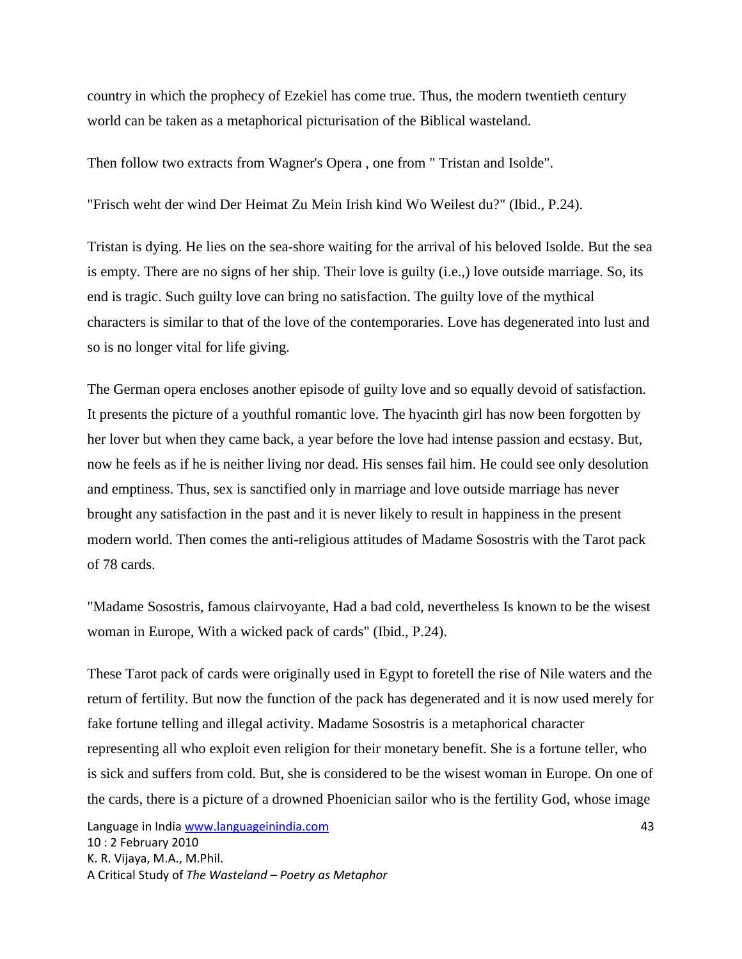country in which the prophecy of Ezekiel has come true. Thus, the modern twentieth century world can be taken as a metaphorical picturisation of the Biblical wasteland.

Then follow two extracts from Wagner's Opera , one from " Tristan and Isolde".

"Frisch weht der wind Der Heimat Zu Mein Irish kind Wo Weilest du?" (Ibid., P.24).

Tristan is dying. He lies on the sea-shore waiting for the arrival of his beloved Isolde. But the sea is empty. There are no signs of her ship. Their love is guilty (i.e.,) love outside marriage. So, its end is tragic. Such guilty love can bring no satisfaction. The guilty love of the mythical characters is similar to that of the love of the contemporaries. Love has degenerated into lust and so is no longer vital for life giving.

The German opera encloses another episode of guilty love and so equally devoid of satisfaction. It presents the picture of a youthful romantic love. The hyacinth girl has now been forgotten by her lover but when they came back, a year before the love had intense passion and ecstasy. But, now he feels as if he is neither living nor dead. His senses fail him. He could see only desolution and emptiness. Thus, sex is sanctified only in marriage and love outside marriage has never brought any satisfaction in the past and it is never likely to result in happiness in the present modern world. Then comes the anti-religious attitudes of Madame Sosostris with the Tarot pack of 78 cards.

"Madame Sosostris, famous clairvoyante, Had a bad cold, nevertheless Is known to be the wisest woman in Europe, With a wicked pack of cards" (Ibid., P.24).

These Tarot pack of cards were originally used in Egypt to foretell the rise of Nile waters and the return of fertility. But now the function of the pack has degenerated and it is now used merely for fake fortune telling and illegal activity. Madame Sosostris is a metaphorical character representing all who exploit even religion for their monetary benefit. She is a fortune teller, who is sick and suffers from cold. But, she is considered to be the wisest woman in Europe. On one of the cards, there is a picture of a drowned Phoenician sailor who is the fertility God, whose image

Language in India www.languageinindia.com **1999** and 1999 and 1999 and 1999 and 1999 and 1999 and 1999 and 1999 a 10 : 2 February 2010 K. R. Vijaya, M.A., M.Phil. A Critical Study of *The Wasteland – Poetry as Metaphor*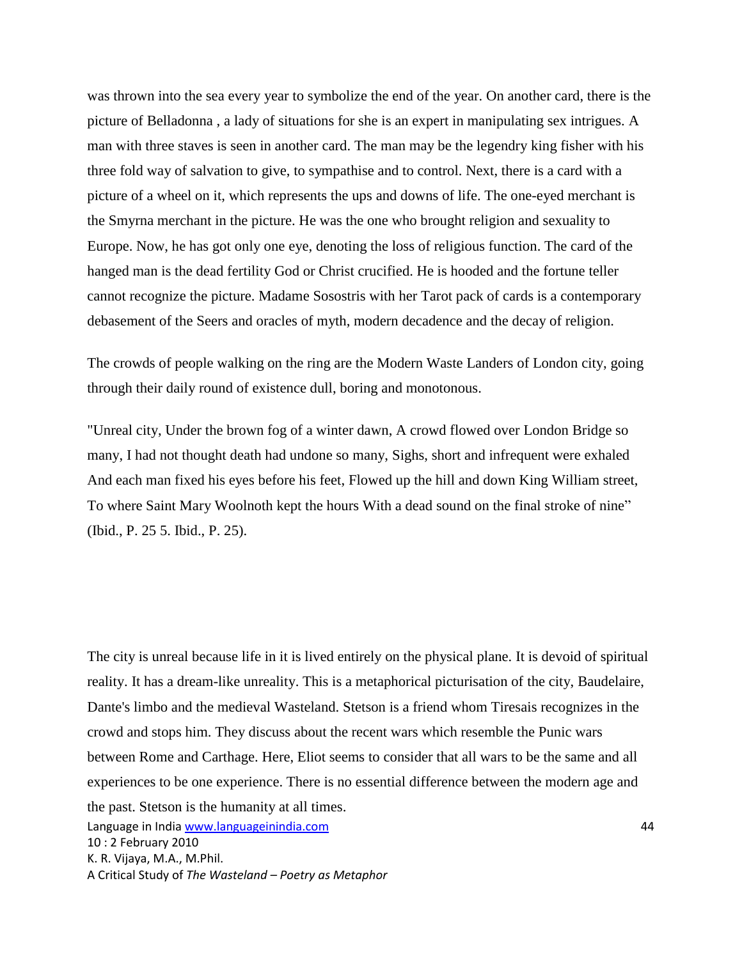was thrown into the sea every year to symbolize the end of the year. On another card, there is the picture of Belladonna , a lady of situations for she is an expert in manipulating sex intrigues. A man with three staves is seen in another card. The man may be the legendry king fisher with his three fold way of salvation to give, to sympathise and to control. Next, there is a card with a picture of a wheel on it, which represents the ups and downs of life. The one-eyed merchant is the Smyrna merchant in the picture. He was the one who brought religion and sexuality to Europe. Now, he has got only one eye, denoting the loss of religious function. The card of the hanged man is the dead fertility God or Christ crucified. He is hooded and the fortune teller cannot recognize the picture. Madame Sosostris with her Tarot pack of cards is a contemporary debasement of the Seers and oracles of myth, modern decadence and the decay of religion.

The crowds of people walking on the ring are the Modern Waste Landers of London city, going through their daily round of existence dull, boring and monotonous.

"Unreal city, Under the brown fog of a winter dawn, A crowd flowed over London Bridge so many, I had not thought death had undone so many, Sighs, short and infrequent were exhaled And each man fixed his eyes before his feet, Flowed up the hill and down King William street, To where Saint Mary Woolnoth kept the hours With a dead sound on the final stroke of nine" (Ibid., P. 25 5. Ibid., P. 25).

Language in India www.languageinindia.com 44 10 : 2 February 2010 K. R. Vijaya, M.A., M.Phil. A Critical Study of *The Wasteland – Poetry as Metaphor* The city is unreal because life in it is lived entirely on the physical plane. It is devoid of spiritual reality. It has a dream-like unreality. This is a metaphorical picturisation of the city, Baudelaire, Dante's limbo and the medieval Wasteland. Stetson is a friend whom Tiresais recognizes in the crowd and stops him. They discuss about the recent wars which resemble the Punic wars between Rome and Carthage. Here, Eliot seems to consider that all wars to be the same and all experiences to be one experience. There is no essential difference between the modern age and the past. Stetson is the humanity at all times.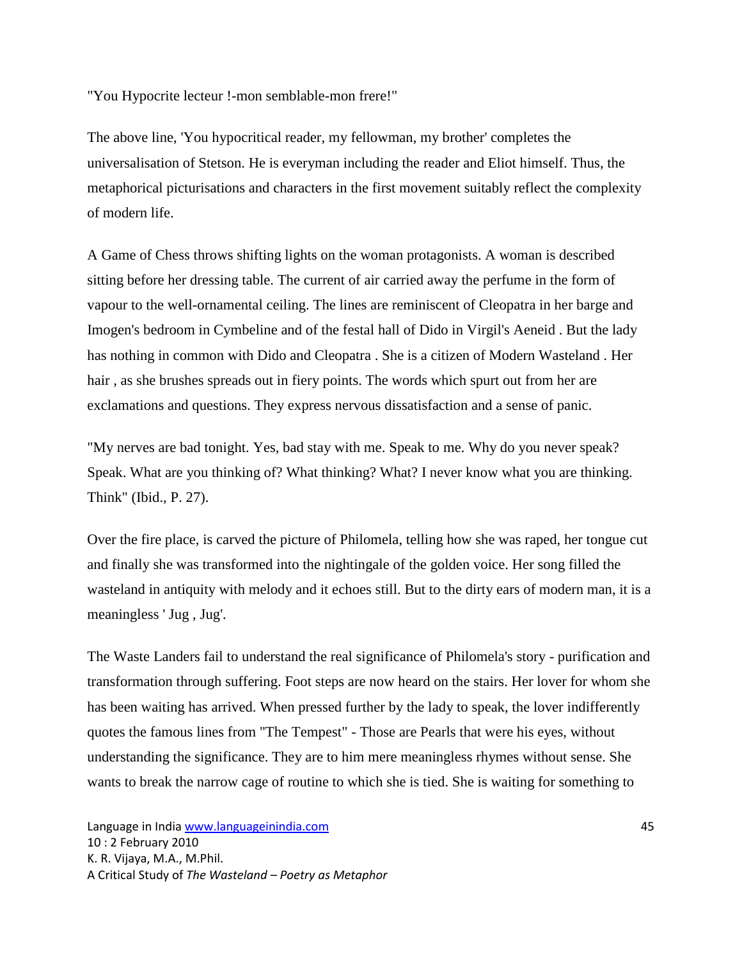"You Hypocrite lecteur !-mon semblable-mon frere!"

The above line, 'You hypocritical reader, my fellowman, my brother' completes the universalisation of Stetson. He is everyman including the reader and Eliot himself. Thus, the metaphorical picturisations and characters in the first movement suitably reflect the complexity of modern life.

A Game of Chess throws shifting lights on the woman protagonists. A woman is described sitting before her dressing table. The current of air carried away the perfume in the form of vapour to the well-ornamental ceiling. The lines are reminiscent of Cleopatra in her barge and Imogen's bedroom in Cymbeline and of the festal hall of Dido in Virgil's Aeneid . But the lady has nothing in common with Dido and Cleopatra . She is a citizen of Modern Wasteland . Her hair , as she brushes spreads out in fiery points. The words which spurt out from her are exclamations and questions. They express nervous dissatisfaction and a sense of panic.

"My nerves are bad tonight. Yes, bad stay with me. Speak to me. Why do you never speak? Speak. What are you thinking of? What thinking? What? I never know what you are thinking. Think" (Ibid., P. 27).

Over the fire place, is carved the picture of Philomela, telling how she was raped, her tongue cut and finally she was transformed into the nightingale of the golden voice. Her song filled the wasteland in antiquity with melody and it echoes still. But to the dirty ears of modern man, it is a meaningless ' Jug , Jug'.

The Waste Landers fail to understand the real significance of Philomela's story - purification and transformation through suffering. Foot steps are now heard on the stairs. Her lover for whom she has been waiting has arrived. When pressed further by the lady to speak, the lover indifferently quotes the famous lines from "The Tempest" - Those are Pearls that were his eyes, without understanding the significance. They are to him mere meaningless rhymes without sense. She wants to break the narrow cage of routine to which she is tied. She is waiting for something to

Language in India www.languageinindia.com 45 10 : 2 February 2010 K. R. Vijaya, M.A., M.Phil. A Critical Study of *The Wasteland – Poetry as Metaphor*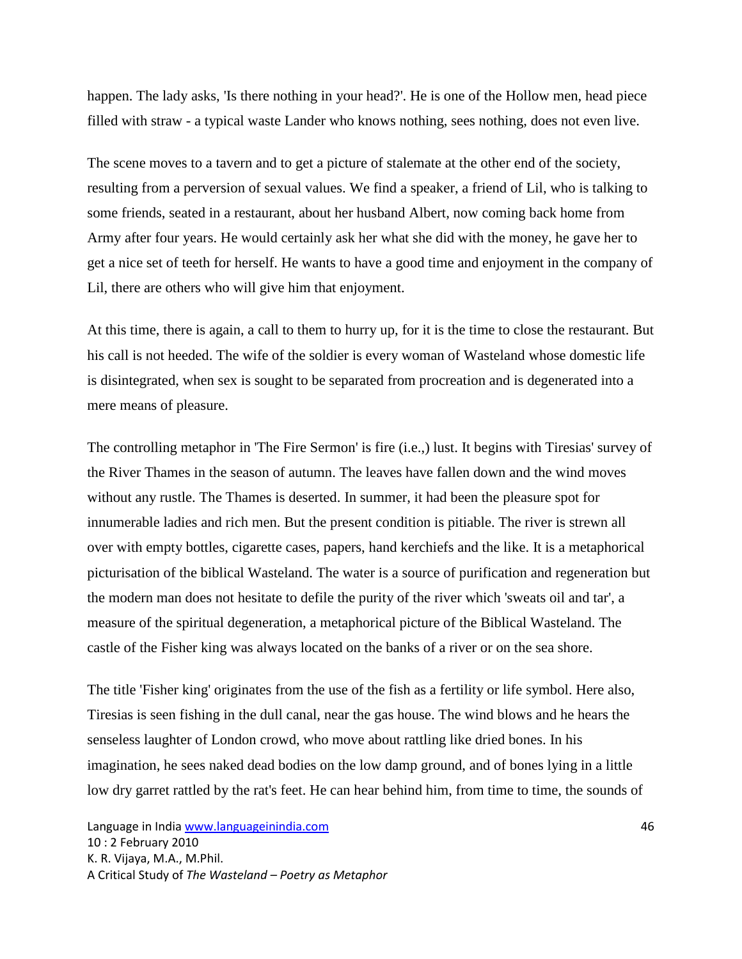happen. The lady asks, 'Is there nothing in your head?'. He is one of the Hollow men, head piece filled with straw - a typical waste Lander who knows nothing, sees nothing, does not even live.

The scene moves to a tavern and to get a picture of stalemate at the other end of the society, resulting from a perversion of sexual values. We find a speaker, a friend of Lil, who is talking to some friends, seated in a restaurant, about her husband Albert, now coming back home from Army after four years. He would certainly ask her what she did with the money, he gave her to get a nice set of teeth for herself. He wants to have a good time and enjoyment in the company of Lil, there are others who will give him that enjoyment.

At this time, there is again, a call to them to hurry up, for it is the time to close the restaurant. But his call is not heeded. The wife of the soldier is every woman of Wasteland whose domestic life is disintegrated, when sex is sought to be separated from procreation and is degenerated into a mere means of pleasure.

The controlling metaphor in 'The Fire Sermon' is fire (i.e.,) lust. It begins with Tiresias' survey of the River Thames in the season of autumn. The leaves have fallen down and the wind moves without any rustle. The Thames is deserted. In summer, it had been the pleasure spot for innumerable ladies and rich men. But the present condition is pitiable. The river is strewn all over with empty bottles, cigarette cases, papers, hand kerchiefs and the like. It is a metaphorical picturisation of the biblical Wasteland. The water is a source of purification and regeneration but the modern man does not hesitate to defile the purity of the river which 'sweats oil and tar', a measure of the spiritual degeneration, a metaphorical picture of the Biblical Wasteland. The castle of the Fisher king was always located on the banks of a river or on the sea shore.

The title 'Fisher king' originates from the use of the fish as a fertility or life symbol. Here also, Tiresias is seen fishing in the dull canal, near the gas house. The wind blows and he hears the senseless laughter of London crowd, who move about rattling like dried bones. In his imagination, he sees naked dead bodies on the low damp ground, and of bones lying in a little low dry garret rattled by the rat's feet. He can hear behind him, from time to time, the sounds of

Language in India www.languageinindia.com 46 10 : 2 February 2010 K. R. Vijaya, M.A., M.Phil. A Critical Study of *The Wasteland – Poetry as Metaphor*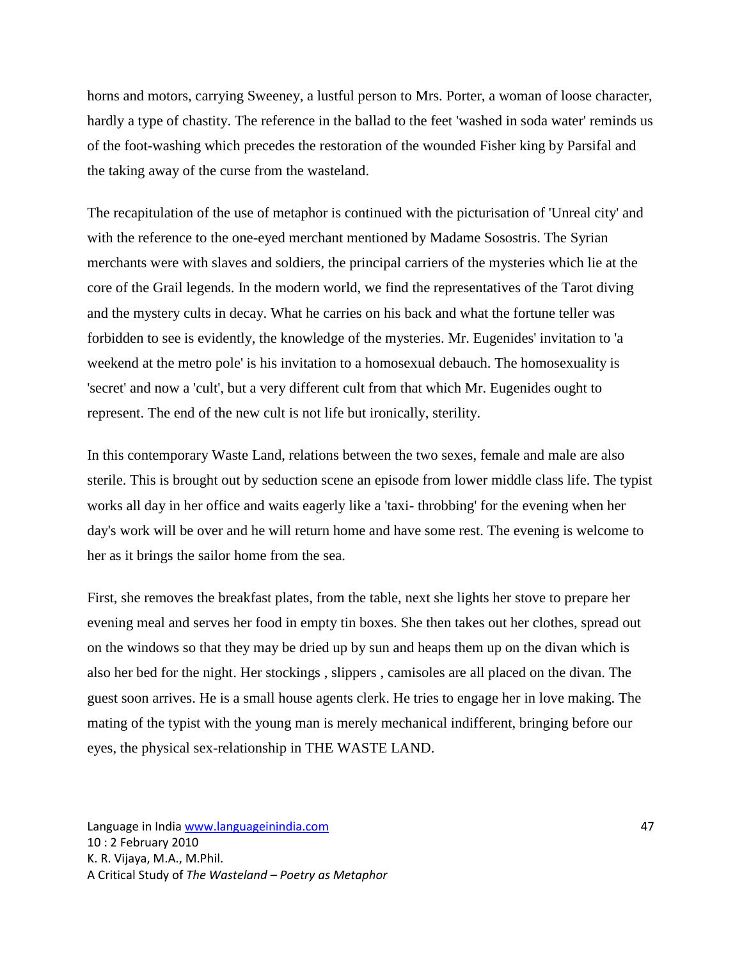horns and motors, carrying Sweeney, a lustful person to Mrs. Porter, a woman of loose character, hardly a type of chastity. The reference in the ballad to the feet 'washed in soda water' reminds us of the foot-washing which precedes the restoration of the wounded Fisher king by Parsifal and the taking away of the curse from the wasteland.

The recapitulation of the use of metaphor is continued with the picturisation of 'Unreal city' and with the reference to the one-eyed merchant mentioned by Madame Sosostris. The Syrian merchants were with slaves and soldiers, the principal carriers of the mysteries which lie at the core of the Grail legends. In the modern world, we find the representatives of the Tarot diving and the mystery cults in decay. What he carries on his back and what the fortune teller was forbidden to see is evidently, the knowledge of the mysteries. Mr. Eugenides' invitation to 'a weekend at the metro pole' is his invitation to a homosexual debauch. The homosexuality is 'secret' and now a 'cult', but a very different cult from that which Mr. Eugenides ought to represent. The end of the new cult is not life but ironically, sterility.

In this contemporary Waste Land, relations between the two sexes, female and male are also sterile. This is brought out by seduction scene an episode from lower middle class life. The typist works all day in her office and waits eagerly like a 'taxi- throbbing' for the evening when her day's work will be over and he will return home and have some rest. The evening is welcome to her as it brings the sailor home from the sea.

First, she removes the breakfast plates, from the table, next she lights her stove to prepare her evening meal and serves her food in empty tin boxes. She then takes out her clothes, spread out on the windows so that they may be dried up by sun and heaps them up on the divan which is also her bed for the night. Her stockings , slippers , camisoles are all placed on the divan. The guest soon arrives. He is a small house agents clerk. He tries to engage her in love making. The mating of the typist with the young man is merely mechanical indifferent, bringing before our eyes, the physical sex-relationship in THE WASTE LAND.

Language in India www.languageinindia.com 47 10 : 2 February 2010 K. R. Vijaya, M.A., M.Phil. A Critical Study of *The Wasteland – Poetry as Metaphor*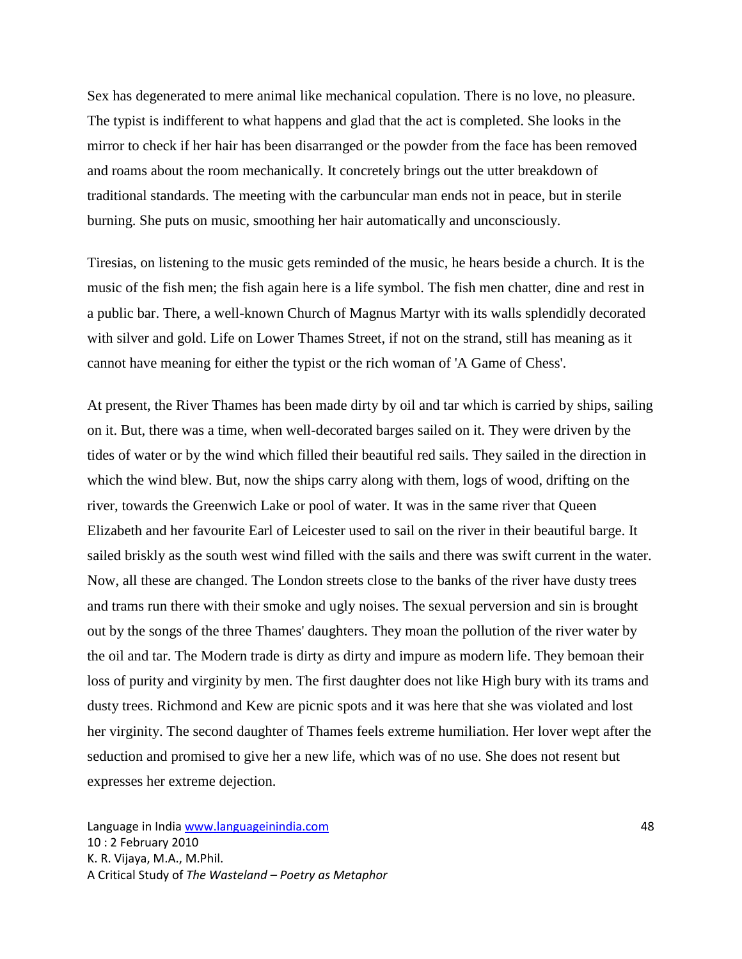Sex has degenerated to mere animal like mechanical copulation. There is no love, no pleasure. The typist is indifferent to what happens and glad that the act is completed. She looks in the mirror to check if her hair has been disarranged or the powder from the face has been removed and roams about the room mechanically. It concretely brings out the utter breakdown of traditional standards. The meeting with the carbuncular man ends not in peace, but in sterile burning. She puts on music, smoothing her hair automatically and unconsciously.

Tiresias, on listening to the music gets reminded of the music, he hears beside a church. It is the music of the fish men; the fish again here is a life symbol. The fish men chatter, dine and rest in a public bar. There, a well-known Church of Magnus Martyr with its walls splendidly decorated with silver and gold. Life on Lower Thames Street, if not on the strand, still has meaning as it cannot have meaning for either the typist or the rich woman of 'A Game of Chess'.

At present, the River Thames has been made dirty by oil and tar which is carried by ships, sailing on it. But, there was a time, when well-decorated barges sailed on it. They were driven by the tides of water or by the wind which filled their beautiful red sails. They sailed in the direction in which the wind blew. But, now the ships carry along with them, logs of wood, drifting on the river, towards the Greenwich Lake or pool of water. It was in the same river that Queen Elizabeth and her favourite Earl of Leicester used to sail on the river in their beautiful barge. It sailed briskly as the south west wind filled with the sails and there was swift current in the water. Now, all these are changed. The London streets close to the banks of the river have dusty trees and trams run there with their smoke and ugly noises. The sexual perversion and sin is brought out by the songs of the three Thames' daughters. They moan the pollution of the river water by the oil and tar. The Modern trade is dirty as dirty and impure as modern life. They bemoan their loss of purity and virginity by men. The first daughter does not like High bury with its trams and dusty trees. Richmond and Kew are picnic spots and it was here that she was violated and lost her virginity. The second daughter of Thames feels extreme humiliation. Her lover wept after the seduction and promised to give her a new life, which was of no use. She does not resent but expresses her extreme dejection.

Language in India www.languageinindia.com 48 10 : 2 February 2010 K. R. Vijaya, M.A., M.Phil. A Critical Study of *The Wasteland – Poetry as Metaphor*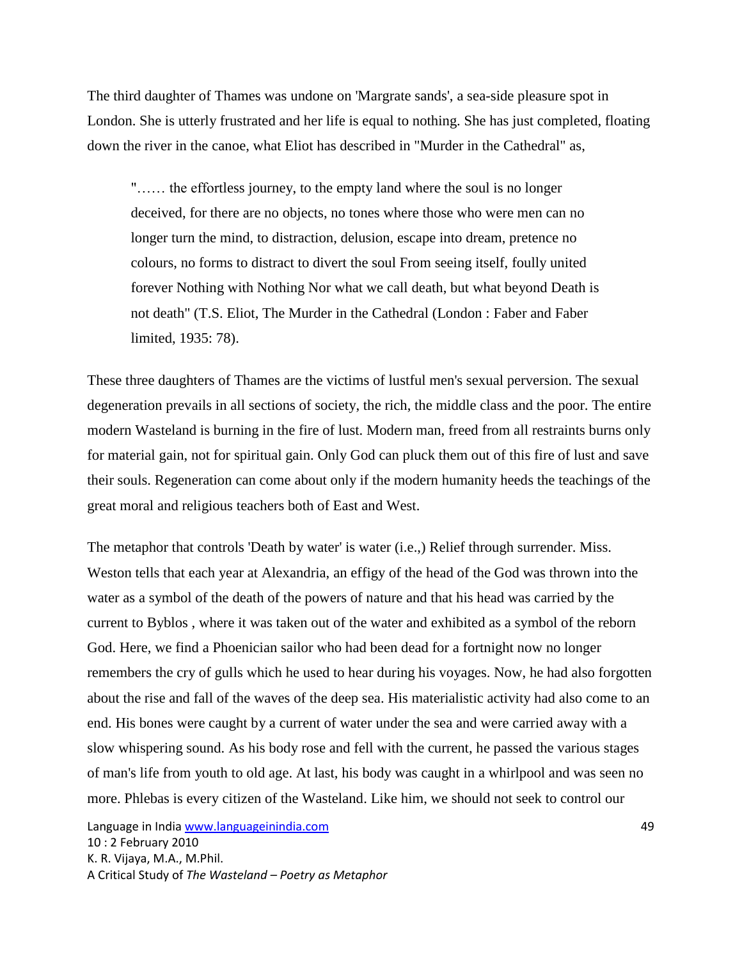The third daughter of Thames was undone on 'Margrate sands', a sea-side pleasure spot in London. She is utterly frustrated and her life is equal to nothing. She has just completed, floating down the river in the canoe, what Eliot has described in "Murder in the Cathedral" as,

"…… the effortless journey, to the empty land where the soul is no longer deceived, for there are no objects, no tones where those who were men can no longer turn the mind, to distraction, delusion, escape into dream, pretence no colours, no forms to distract to divert the soul From seeing itself, foully united forever Nothing with Nothing Nor what we call death, but what beyond Death is not death" (T.S. Eliot, The Murder in the Cathedral (London : Faber and Faber limited, 1935: 78).

These three daughters of Thames are the victims of lustful men's sexual perversion. The sexual degeneration prevails in all sections of society, the rich, the middle class and the poor. The entire modern Wasteland is burning in the fire of lust. Modern man, freed from all restraints burns only for material gain, not for spiritual gain. Only God can pluck them out of this fire of lust and save their souls. Regeneration can come about only if the modern humanity heeds the teachings of the great moral and religious teachers both of East and West.

The metaphor that controls 'Death by water' is water (i.e.,) Relief through surrender. Miss. Weston tells that each year at Alexandria, an effigy of the head of the God was thrown into the water as a symbol of the death of the powers of nature and that his head was carried by the current to Byblos , where it was taken out of the water and exhibited as a symbol of the reborn God. Here, we find a Phoenician sailor who had been dead for a fortnight now no longer remembers the cry of gulls which he used to hear during his voyages. Now, he had also forgotten about the rise and fall of the waves of the deep sea. His materialistic activity had also come to an end. His bones were caught by a current of water under the sea and were carried away with a slow whispering sound. As his body rose and fell with the current, he passed the various stages of man's life from youth to old age. At last, his body was caught in a whirlpool and was seen no more. Phlebas is every citizen of the Wasteland. Like him, we should not seek to control our

Language in India www.languageinindia.com 49 10 : 2 February 2010 K. R. Vijaya, M.A., M.Phil. A Critical Study of *The Wasteland – Poetry as Metaphor*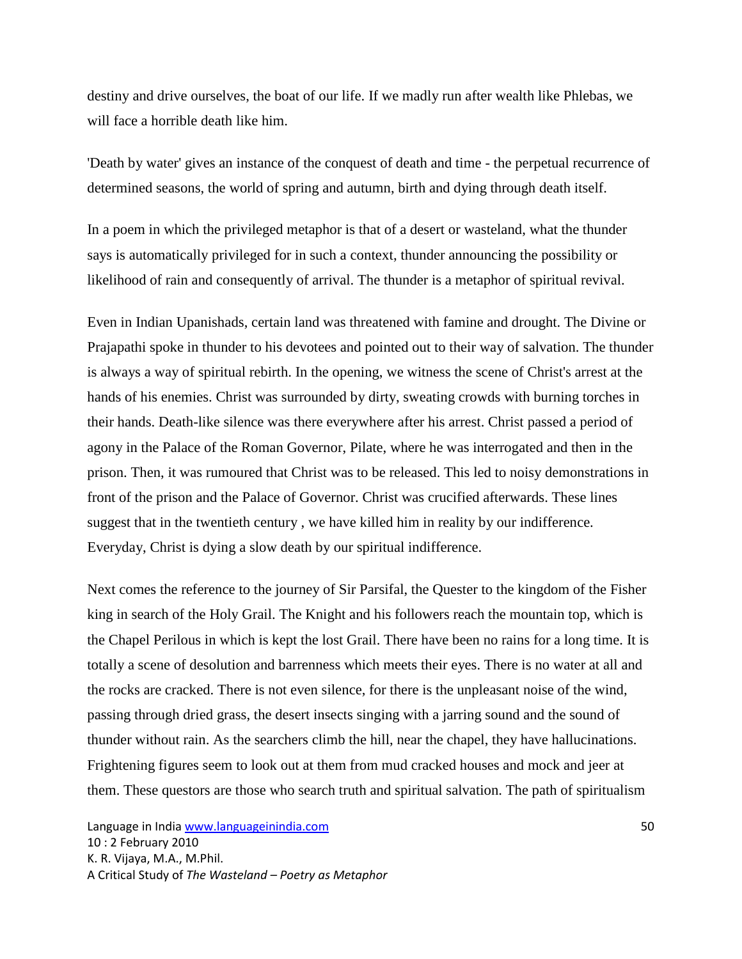destiny and drive ourselves, the boat of our life. If we madly run after wealth like Phlebas, we will face a horrible death like him.

'Death by water' gives an instance of the conquest of death and time - the perpetual recurrence of determined seasons, the world of spring and autumn, birth and dying through death itself.

In a poem in which the privileged metaphor is that of a desert or wasteland, what the thunder says is automatically privileged for in such a context, thunder announcing the possibility or likelihood of rain and consequently of arrival. The thunder is a metaphor of spiritual revival.

Even in Indian Upanishads, certain land was threatened with famine and drought. The Divine or Prajapathi spoke in thunder to his devotees and pointed out to their way of salvation. The thunder is always a way of spiritual rebirth. In the opening, we witness the scene of Christ's arrest at the hands of his enemies. Christ was surrounded by dirty, sweating crowds with burning torches in their hands. Death-like silence was there everywhere after his arrest. Christ passed a period of agony in the Palace of the Roman Governor, Pilate, where he was interrogated and then in the prison. Then, it was rumoured that Christ was to be released. This led to noisy demonstrations in front of the prison and the Palace of Governor. Christ was crucified afterwards. These lines suggest that in the twentieth century , we have killed him in reality by our indifference. Everyday, Christ is dying a slow death by our spiritual indifference.

Next comes the reference to the journey of Sir Parsifal, the Quester to the kingdom of the Fisher king in search of the Holy Grail. The Knight and his followers reach the mountain top, which is the Chapel Perilous in which is kept the lost Grail. There have been no rains for a long time. It is totally a scene of desolution and barrenness which meets their eyes. There is no water at all and the rocks are cracked. There is not even silence, for there is the unpleasant noise of the wind, passing through dried grass, the desert insects singing with a jarring sound and the sound of thunder without rain. As the searchers climb the hill, near the chapel, they have hallucinations. Frightening figures seem to look out at them from mud cracked houses and mock and jeer at them. These questors are those who search truth and spiritual salvation. The path of spiritualism

Language in India www.languageinindia.com 50 10 : 2 February 2010 K. R. Vijaya, M.A., M.Phil. A Critical Study of *The Wasteland – Poetry as Metaphor*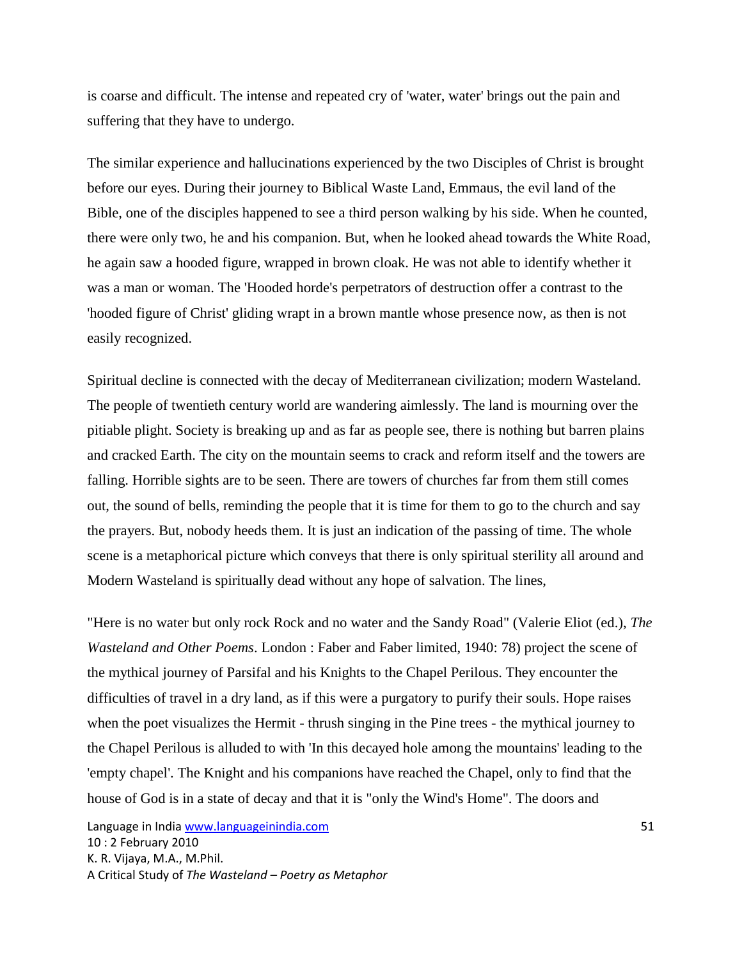is coarse and difficult. The intense and repeated cry of 'water, water' brings out the pain and suffering that they have to undergo.

The similar experience and hallucinations experienced by the two Disciples of Christ is brought before our eyes. During their journey to Biblical Waste Land, Emmaus, the evil land of the Bible, one of the disciples happened to see a third person walking by his side. When he counted, there were only two, he and his companion. But, when he looked ahead towards the White Road, he again saw a hooded figure, wrapped in brown cloak. He was not able to identify whether it was a man or woman. The 'Hooded horde's perpetrators of destruction offer a contrast to the 'hooded figure of Christ' gliding wrapt in a brown mantle whose presence now, as then is not easily recognized.

Spiritual decline is connected with the decay of Mediterranean civilization; modern Wasteland. The people of twentieth century world are wandering aimlessly. The land is mourning over the pitiable plight. Society is breaking up and as far as people see, there is nothing but barren plains and cracked Earth. The city on the mountain seems to crack and reform itself and the towers are falling. Horrible sights are to be seen. There are towers of churches far from them still comes out, the sound of bells, reminding the people that it is time for them to go to the church and say the prayers. But, nobody heeds them. It is just an indication of the passing of time. The whole scene is a metaphorical picture which conveys that there is only spiritual sterility all around and Modern Wasteland is spiritually dead without any hope of salvation. The lines,

"Here is no water but only rock Rock and no water and the Sandy Road" (Valerie Eliot (ed.), *The Wasteland and Other Poems*. London : Faber and Faber limited, 1940: 78) project the scene of the mythical journey of Parsifal and his Knights to the Chapel Perilous. They encounter the difficulties of travel in a dry land, as if this were a purgatory to purify their souls. Hope raises when the poet visualizes the Hermit - thrush singing in the Pine trees - the mythical journey to the Chapel Perilous is alluded to with 'In this decayed hole among the mountains' leading to the 'empty chapel'. The Knight and his companions have reached the Chapel, only to find that the house of God is in a state of decay and that it is "only the Wind's Home". The doors and

Language in India www.languageinindia.com 51 10 : 2 February 2010 K. R. Vijaya, M.A., M.Phil. A Critical Study of *The Wasteland – Poetry as Metaphor*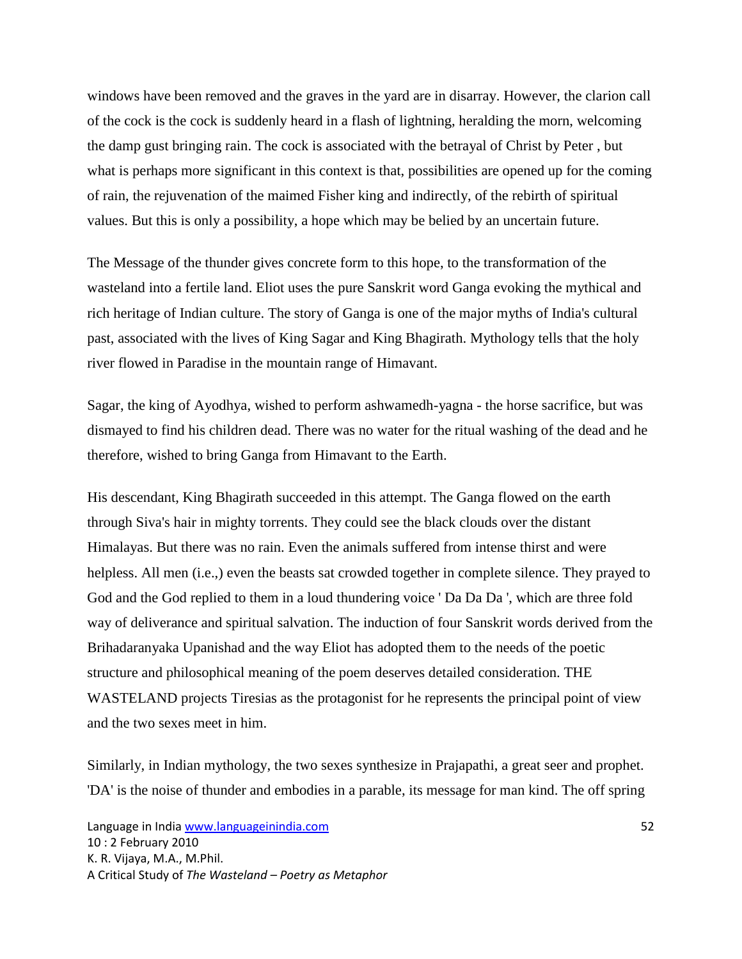windows have been removed and the graves in the yard are in disarray. However, the clarion call of the cock is the cock is suddenly heard in a flash of lightning, heralding the morn, welcoming the damp gust bringing rain. The cock is associated with the betrayal of Christ by Peter , but what is perhaps more significant in this context is that, possibilities are opened up for the coming of rain, the rejuvenation of the maimed Fisher king and indirectly, of the rebirth of spiritual values. But this is only a possibility, a hope which may be belied by an uncertain future.

The Message of the thunder gives concrete form to this hope, to the transformation of the wasteland into a fertile land. Eliot uses the pure Sanskrit word Ganga evoking the mythical and rich heritage of Indian culture. The story of Ganga is one of the major myths of India's cultural past, associated with the lives of King Sagar and King Bhagirath. Mythology tells that the holy river flowed in Paradise in the mountain range of Himavant.

Sagar, the king of Ayodhya, wished to perform ashwamedh-yagna - the horse sacrifice, but was dismayed to find his children dead. There was no water for the ritual washing of the dead and he therefore, wished to bring Ganga from Himavant to the Earth.

His descendant, King Bhagirath succeeded in this attempt. The Ganga flowed on the earth through Siva's hair in mighty torrents. They could see the black clouds over the distant Himalayas. But there was no rain. Even the animals suffered from intense thirst and were helpless. All men (i.e.,) even the beasts sat crowded together in complete silence. They prayed to God and the God replied to them in a loud thundering voice 'Da Da Da', which are three fold way of deliverance and spiritual salvation. The induction of four Sanskrit words derived from the Brihadaranyaka Upanishad and the way Eliot has adopted them to the needs of the poetic structure and philosophical meaning of the poem deserves detailed consideration. THE WASTELAND projects Tiresias as the protagonist for he represents the principal point of view and the two sexes meet in him.

Similarly, in Indian mythology, the two sexes synthesize in Prajapathi, a great seer and prophet. 'DA' is the noise of thunder and embodies in a parable, its message for man kind. The off spring

Language in India www.languageinindia.com 52 10 : 2 February 2010 K. R. Vijaya, M.A., M.Phil. A Critical Study of *The Wasteland – Poetry as Metaphor*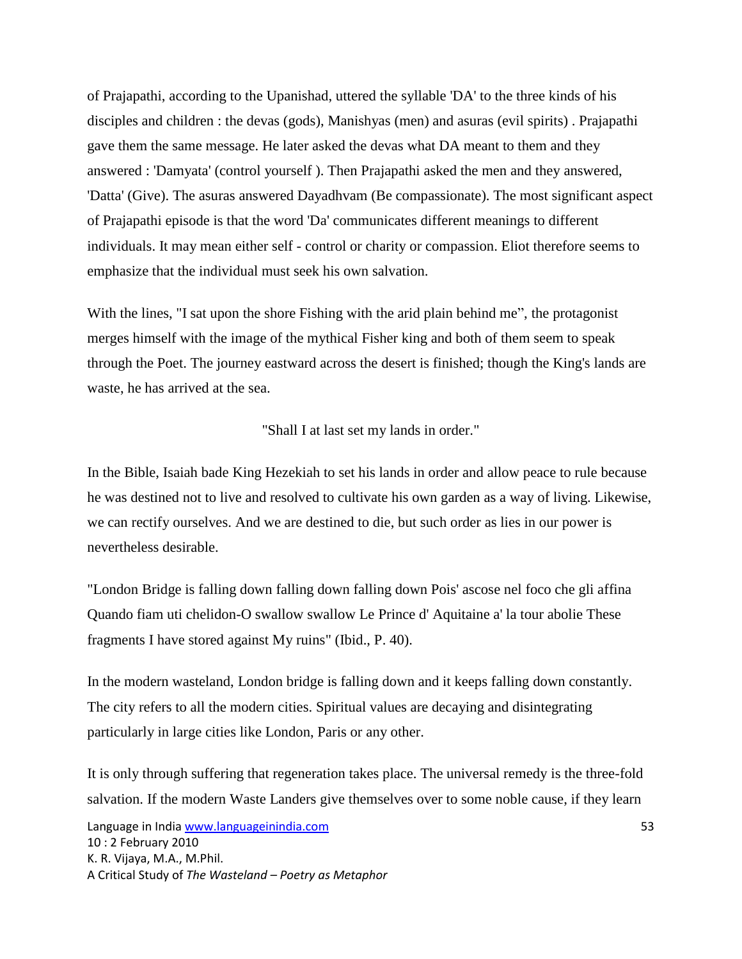of Prajapathi, according to the Upanishad, uttered the syllable 'DA' to the three kinds of his disciples and children : the devas (gods), Manishyas (men) and asuras (evil spirits) . Prajapathi gave them the same message. He later asked the devas what DA meant to them and they answered : 'Damyata' (control yourself ). Then Prajapathi asked the men and they answered, 'Datta' (Give). The asuras answered Dayadhvam (Be compassionate). The most significant aspect of Prajapathi episode is that the word 'Da' communicates different meanings to different individuals. It may mean either self - control or charity or compassion. Eliot therefore seems to emphasize that the individual must seek his own salvation.

With the lines, "I sat upon the shore Fishing with the arid plain behind me", the protagonist merges himself with the image of the mythical Fisher king and both of them seem to speak through the Poet. The journey eastward across the desert is finished; though the King's lands are waste, he has arrived at the sea.

"Shall I at last set my lands in order."

In the Bible, Isaiah bade King Hezekiah to set his lands in order and allow peace to rule because he was destined not to live and resolved to cultivate his own garden as a way of living. Likewise, we can rectify ourselves. And we are destined to die, but such order as lies in our power is nevertheless desirable.

"London Bridge is falling down falling down falling down Pois' ascose nel foco che gli affina Quando fiam uti chelidon-O swallow swallow Le Prince d' Aquitaine a' la tour abolie These fragments I have stored against My ruins" (Ibid., P. 40).

In the modern wasteland, London bridge is falling down and it keeps falling down constantly. The city refers to all the modern cities. Spiritual values are decaying and disintegrating particularly in large cities like London, Paris or any other.

It is only through suffering that regeneration takes place. The universal remedy is the three-fold salvation. If the modern Waste Landers give themselves over to some noble cause, if they learn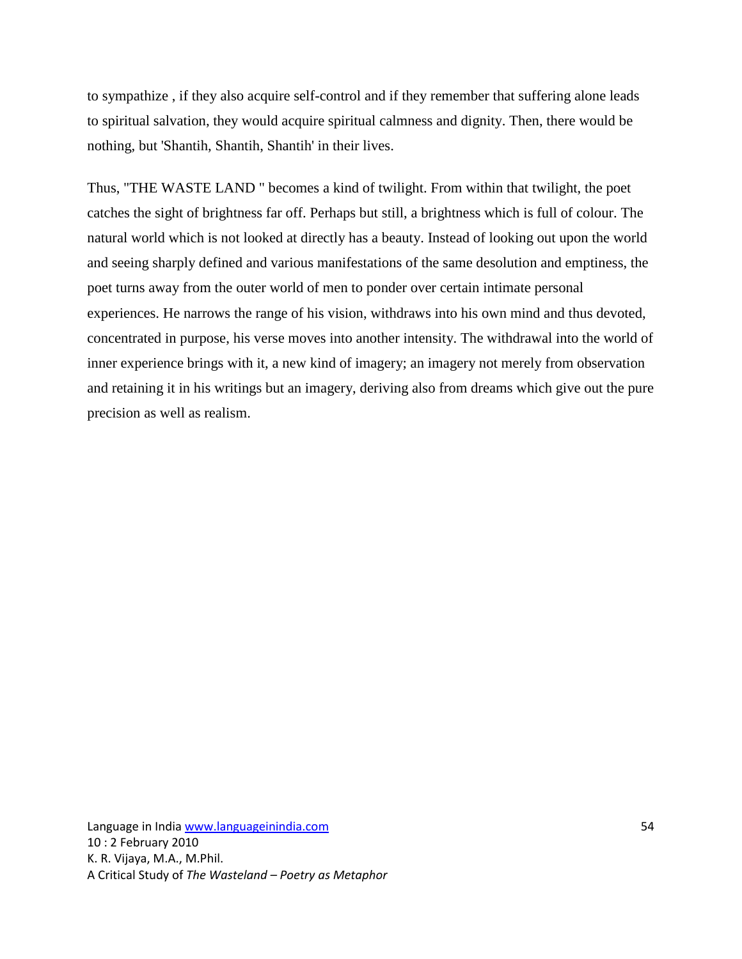to sympathize , if they also acquire self-control and if they remember that suffering alone leads to spiritual salvation, they would acquire spiritual calmness and dignity. Then, there would be nothing, but 'Shantih, Shantih, Shantih' in their lives.

Thus, "THE WASTE LAND " becomes a kind of twilight. From within that twilight, the poet catches the sight of brightness far off. Perhaps but still, a brightness which is full of colour. The natural world which is not looked at directly has a beauty. Instead of looking out upon the world and seeing sharply defined and various manifestations of the same desolution and emptiness, the poet turns away from the outer world of men to ponder over certain intimate personal experiences. He narrows the range of his vision, withdraws into his own mind and thus devoted, concentrated in purpose, his verse moves into another intensity. The withdrawal into the world of inner experience brings with it, a new kind of imagery; an imagery not merely from observation and retaining it in his writings but an imagery, deriving also from dreams which give out the pure precision as well as realism.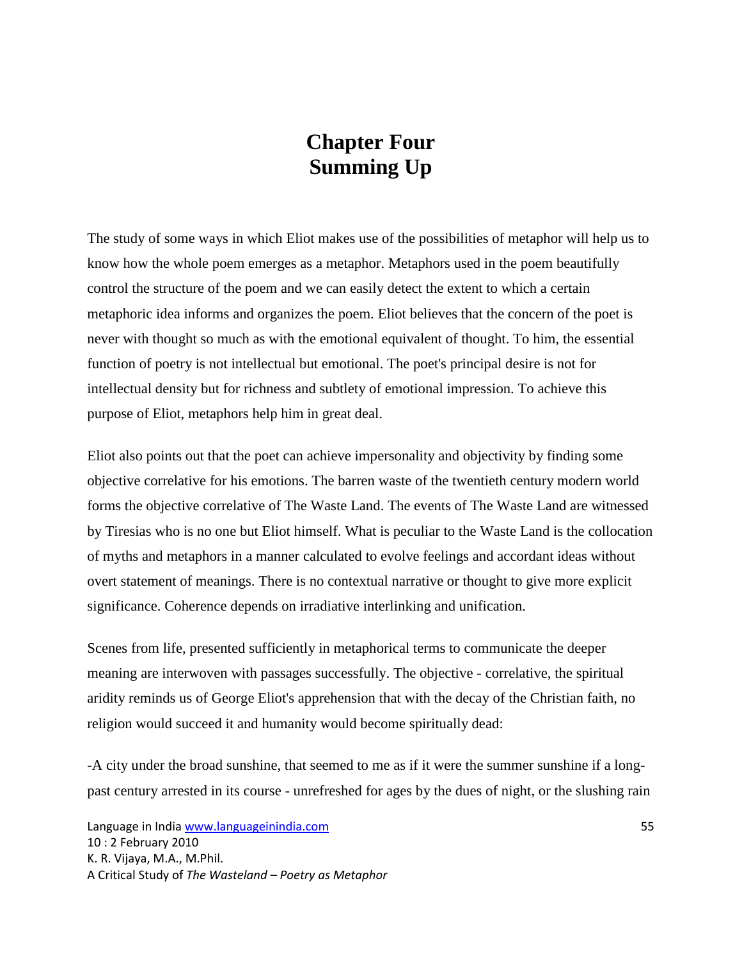# **Chapter Four Summing Up**

The study of some ways in which Eliot makes use of the possibilities of metaphor will help us to know how the whole poem emerges as a metaphor. Metaphors used in the poem beautifully control the structure of the poem and we can easily detect the extent to which a certain metaphoric idea informs and organizes the poem. Eliot believes that the concern of the poet is never with thought so much as with the emotional equivalent of thought. To him, the essential function of poetry is not intellectual but emotional. The poet's principal desire is not for intellectual density but for richness and subtlety of emotional impression. To achieve this purpose of Eliot, metaphors help him in great deal.

Eliot also points out that the poet can achieve impersonality and objectivity by finding some objective correlative for his emotions. The barren waste of the twentieth century modern world forms the objective correlative of The Waste Land. The events of The Waste Land are witnessed by Tiresias who is no one but Eliot himself. What is peculiar to the Waste Land is the collocation of myths and metaphors in a manner calculated to evolve feelings and accordant ideas without overt statement of meanings. There is no contextual narrative or thought to give more explicit significance. Coherence depends on irradiative interlinking and unification.

Scenes from life, presented sufficiently in metaphorical terms to communicate the deeper meaning are interwoven with passages successfully. The objective - correlative, the spiritual aridity reminds us of George Eliot's apprehension that with the decay of the Christian faith, no religion would succeed it and humanity would become spiritually dead:

-A city under the broad sunshine, that seemed to me as if it were the summer sunshine if a longpast century arrested in its course - unrefreshed for ages by the dues of night, or the slushing rain

Language in India www.languageinindia.com 55 10 : 2 February 2010 K. R. Vijaya, M.A., M.Phil. A Critical Study of *The Wasteland – Poetry as Metaphor*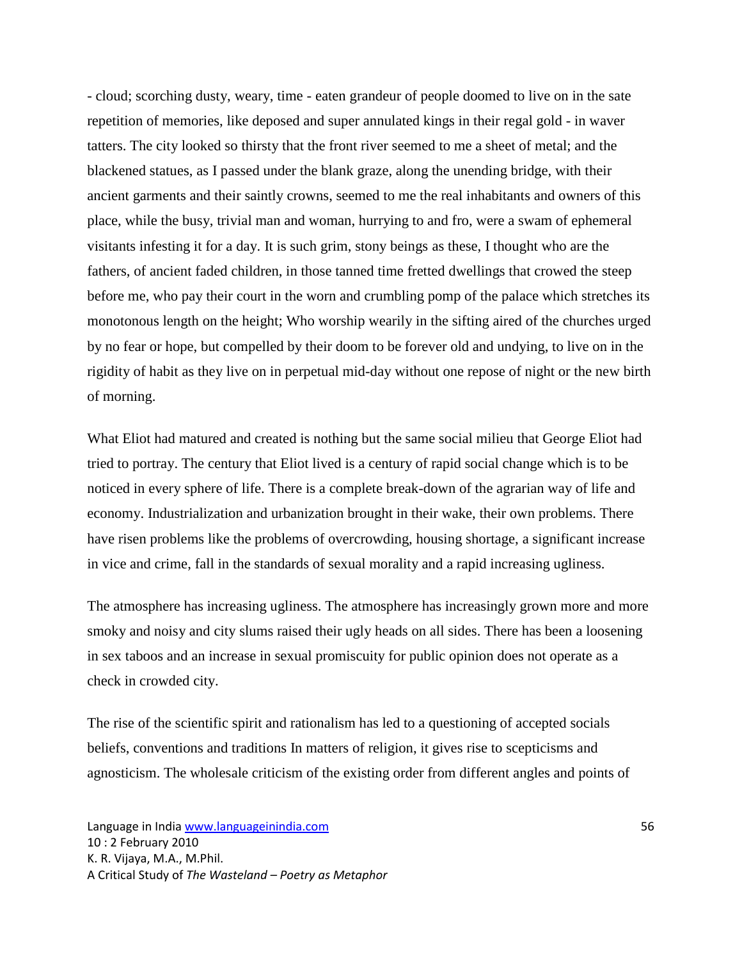- cloud; scorching dusty, weary, time - eaten grandeur of people doomed to live on in the sate repetition of memories, like deposed and super annulated kings in their regal gold - in waver tatters. The city looked so thirsty that the front river seemed to me a sheet of metal; and the blackened statues, as I passed under the blank graze, along the unending bridge, with their ancient garments and their saintly crowns, seemed to me the real inhabitants and owners of this place, while the busy, trivial man and woman, hurrying to and fro, were a swam of ephemeral visitants infesting it for a day. It is such grim, stony beings as these, I thought who are the fathers, of ancient faded children, in those tanned time fretted dwellings that crowed the steep before me, who pay their court in the worn and crumbling pomp of the palace which stretches its monotonous length on the height; Who worship wearily in the sifting aired of the churches urged by no fear or hope, but compelled by their doom to be forever old and undying, to live on in the rigidity of habit as they live on in perpetual mid-day without one repose of night or the new birth of morning.

What Eliot had matured and created is nothing but the same social milieu that George Eliot had tried to portray. The century that Eliot lived is a century of rapid social change which is to be noticed in every sphere of life. There is a complete break-down of the agrarian way of life and economy. Industrialization and urbanization brought in their wake, their own problems. There have risen problems like the problems of overcrowding, housing shortage, a significant increase in vice and crime, fall in the standards of sexual morality and a rapid increasing ugliness.

The atmosphere has increasing ugliness. The atmosphere has increasingly grown more and more smoky and noisy and city slums raised their ugly heads on all sides. There has been a loosening in sex taboos and an increase in sexual promiscuity for public opinion does not operate as a check in crowded city.

The rise of the scientific spirit and rationalism has led to a questioning of accepted socials beliefs, conventions and traditions In matters of religion, it gives rise to scepticisms and agnosticism. The wholesale criticism of the existing order from different angles and points of

Language in India www.languageinindia.com 56 10 : 2 February 2010 K. R. Vijaya, M.A., M.Phil. A Critical Study of *The Wasteland – Poetry as Metaphor*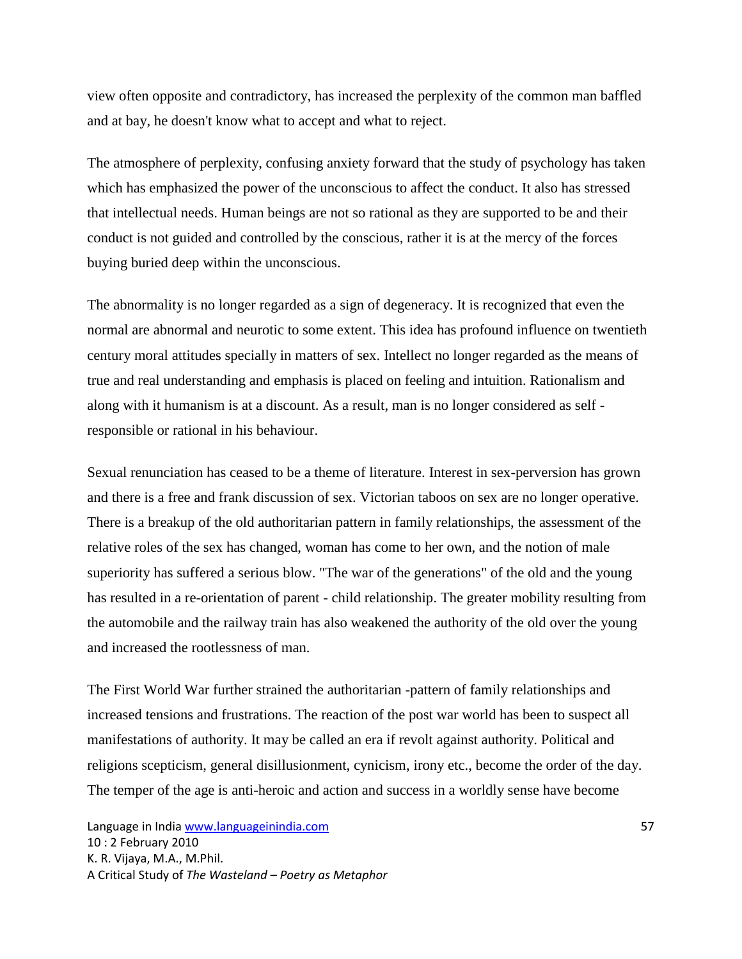view often opposite and contradictory, has increased the perplexity of the common man baffled and at bay, he doesn't know what to accept and what to reject.

The atmosphere of perplexity, confusing anxiety forward that the study of psychology has taken which has emphasized the power of the unconscious to affect the conduct. It also has stressed that intellectual needs. Human beings are not so rational as they are supported to be and their conduct is not guided and controlled by the conscious, rather it is at the mercy of the forces buying buried deep within the unconscious.

The abnormality is no longer regarded as a sign of degeneracy. It is recognized that even the normal are abnormal and neurotic to some extent. This idea has profound influence on twentieth century moral attitudes specially in matters of sex. Intellect no longer regarded as the means of true and real understanding and emphasis is placed on feeling and intuition. Rationalism and along with it humanism is at a discount. As a result, man is no longer considered as self responsible or rational in his behaviour.

Sexual renunciation has ceased to be a theme of literature. Interest in sex-perversion has grown and there is a free and frank discussion of sex. Victorian taboos on sex are no longer operative. There is a breakup of the old authoritarian pattern in family relationships, the assessment of the relative roles of the sex has changed, woman has come to her own, and the notion of male superiority has suffered a serious blow. "The war of the generations" of the old and the young has resulted in a re-orientation of parent - child relationship. The greater mobility resulting from the automobile and the railway train has also weakened the authority of the old over the young and increased the rootlessness of man.

The First World War further strained the authoritarian -pattern of family relationships and increased tensions and frustrations. The reaction of the post war world has been to suspect all manifestations of authority. It may be called an era if revolt against authority. Political and religions scepticism, general disillusionment, cynicism, irony etc., become the order of the day. The temper of the age is anti-heroic and action and success in a worldly sense have become

Language in India www.languageinindia.com **57** and 57 10 : 2 February 2010 K. R. Vijaya, M.A., M.Phil. A Critical Study of *The Wasteland – Poetry as Metaphor*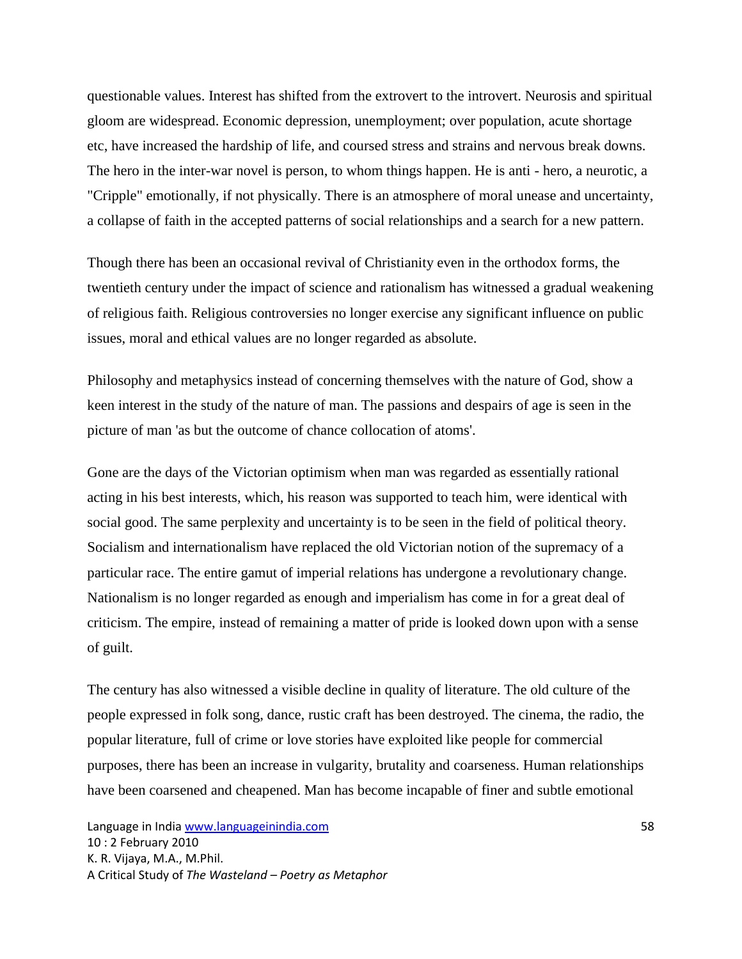questionable values. Interest has shifted from the extrovert to the introvert. Neurosis and spiritual gloom are widespread. Economic depression, unemployment; over population, acute shortage etc, have increased the hardship of life, and coursed stress and strains and nervous break downs. The hero in the inter-war novel is person, to whom things happen. He is anti - hero, a neurotic, a "Cripple" emotionally, if not physically. There is an atmosphere of moral unease and uncertainty, a collapse of faith in the accepted patterns of social relationships and a search for a new pattern.

Though there has been an occasional revival of Christianity even in the orthodox forms, the twentieth century under the impact of science and rationalism has witnessed a gradual weakening of religious faith. Religious controversies no longer exercise any significant influence on public issues, moral and ethical values are no longer regarded as absolute.

Philosophy and metaphysics instead of concerning themselves with the nature of God, show a keen interest in the study of the nature of man. The passions and despairs of age is seen in the picture of man 'as but the outcome of chance collocation of atoms'.

Gone are the days of the Victorian optimism when man was regarded as essentially rational acting in his best interests, which, his reason was supported to teach him, were identical with social good. The same perplexity and uncertainty is to be seen in the field of political theory. Socialism and internationalism have replaced the old Victorian notion of the supremacy of a particular race. The entire gamut of imperial relations has undergone a revolutionary change. Nationalism is no longer regarded as enough and imperialism has come in for a great deal of criticism. The empire, instead of remaining a matter of pride is looked down upon with a sense of guilt.

The century has also witnessed a visible decline in quality of literature. The old culture of the people expressed in folk song, dance, rustic craft has been destroyed. The cinema, the radio, the popular literature, full of crime or love stories have exploited like people for commercial purposes, there has been an increase in vulgarity, brutality and coarseness. Human relationships have been coarsened and cheapened. Man has become incapable of finer and subtle emotional

Language in India www.languageinindia.com 58 10 : 2 February 2010 K. R. Vijaya, M.A., M.Phil. A Critical Study of *The Wasteland – Poetry as Metaphor*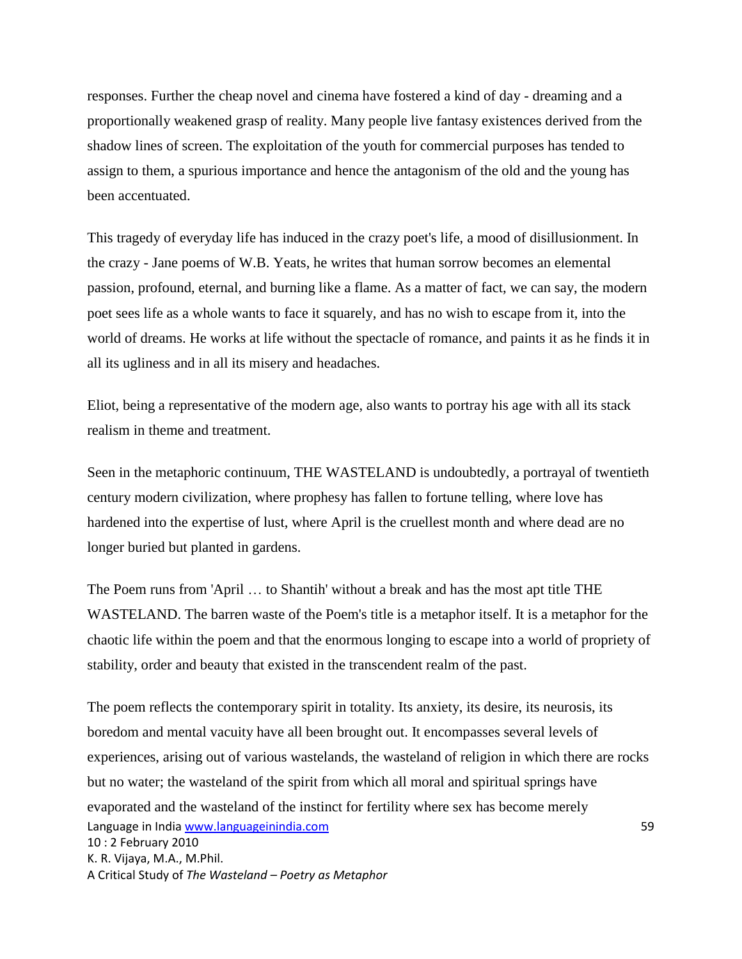responses. Further the cheap novel and cinema have fostered a kind of day - dreaming and a proportionally weakened grasp of reality. Many people live fantasy existences derived from the shadow lines of screen. The exploitation of the youth for commercial purposes has tended to assign to them, a spurious importance and hence the antagonism of the old and the young has been accentuated.

This tragedy of everyday life has induced in the crazy poet's life, a mood of disillusionment. In the crazy - Jane poems of W.B. Yeats, he writes that human sorrow becomes an elemental passion, profound, eternal, and burning like a flame. As a matter of fact, we can say, the modern poet sees life as a whole wants to face it squarely, and has no wish to escape from it, into the world of dreams. He works at life without the spectacle of romance, and paints it as he finds it in all its ugliness and in all its misery and headaches.

Eliot, being a representative of the modern age, also wants to portray his age with all its stack realism in theme and treatment.

Seen in the metaphoric continuum, THE WASTELAND is undoubtedly, a portrayal of twentieth century modern civilization, where prophesy has fallen to fortune telling, where love has hardened into the expertise of lust, where April is the cruellest month and where dead are no longer buried but planted in gardens.

The Poem runs from 'April … to Shantih' without a break and has the most apt title THE WASTELAND. The barren waste of the Poem's title is a metaphor itself. It is a metaphor for the chaotic life within the poem and that the enormous longing to escape into a world of propriety of stability, order and beauty that existed in the transcendent realm of the past.

Language in India www.languageinindia.com 59 10 : 2 February 2010 K. R. Vijaya, M.A., M.Phil. A Critical Study of *The Wasteland – Poetry as Metaphor* The poem reflects the contemporary spirit in totality. Its anxiety, its desire, its neurosis, its boredom and mental vacuity have all been brought out. It encompasses several levels of experiences, arising out of various wastelands, the wasteland of religion in which there are rocks but no water; the wasteland of the spirit from which all moral and spiritual springs have evaporated and the wasteland of the instinct for fertility where sex has become merely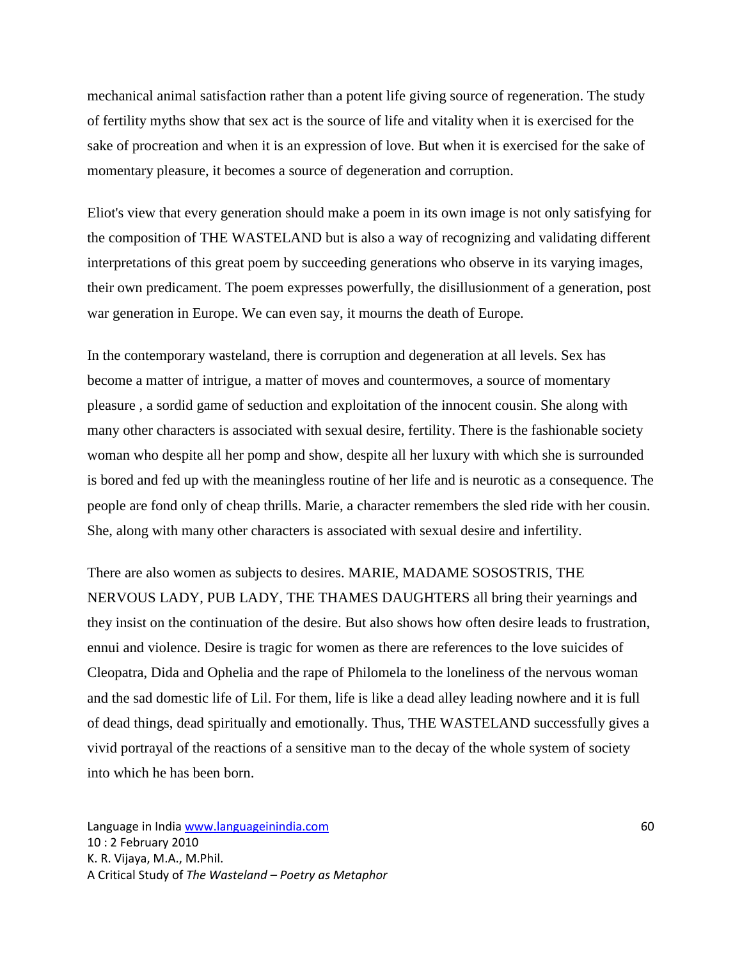mechanical animal satisfaction rather than a potent life giving source of regeneration. The study of fertility myths show that sex act is the source of life and vitality when it is exercised for the sake of procreation and when it is an expression of love. But when it is exercised for the sake of momentary pleasure, it becomes a source of degeneration and corruption.

Eliot's view that every generation should make a poem in its own image is not only satisfying for the composition of THE WASTELAND but is also a way of recognizing and validating different interpretations of this great poem by succeeding generations who observe in its varying images, their own predicament. The poem expresses powerfully, the disillusionment of a generation, post war generation in Europe. We can even say, it mourns the death of Europe.

In the contemporary wasteland, there is corruption and degeneration at all levels. Sex has become a matter of intrigue, a matter of moves and countermoves, a source of momentary pleasure , a sordid game of seduction and exploitation of the innocent cousin. She along with many other characters is associated with sexual desire, fertility. There is the fashionable society woman who despite all her pomp and show, despite all her luxury with which she is surrounded is bored and fed up with the meaningless routine of her life and is neurotic as a consequence. The people are fond only of cheap thrills. Marie, a character remembers the sled ride with her cousin. She, along with many other characters is associated with sexual desire and infertility.

There are also women as subjects to desires. MARIE, MADAME SOSOSTRIS, THE NERVOUS LADY, PUB LADY, THE THAMES DAUGHTERS all bring their yearnings and they insist on the continuation of the desire. But also shows how often desire leads to frustration, ennui and violence. Desire is tragic for women as there are references to the love suicides of Cleopatra, Dida and Ophelia and the rape of Philomela to the loneliness of the nervous woman and the sad domestic life of Lil. For them, life is like a dead alley leading nowhere and it is full of dead things, dead spiritually and emotionally. Thus, THE WASTELAND successfully gives a vivid portrayal of the reactions of a sensitive man to the decay of the whole system of society into which he has been born.

Language in India www.languageinindia.com 60 10 : 2 February 2010 K. R. Vijaya, M.A., M.Phil. A Critical Study of *The Wasteland – Poetry as Metaphor*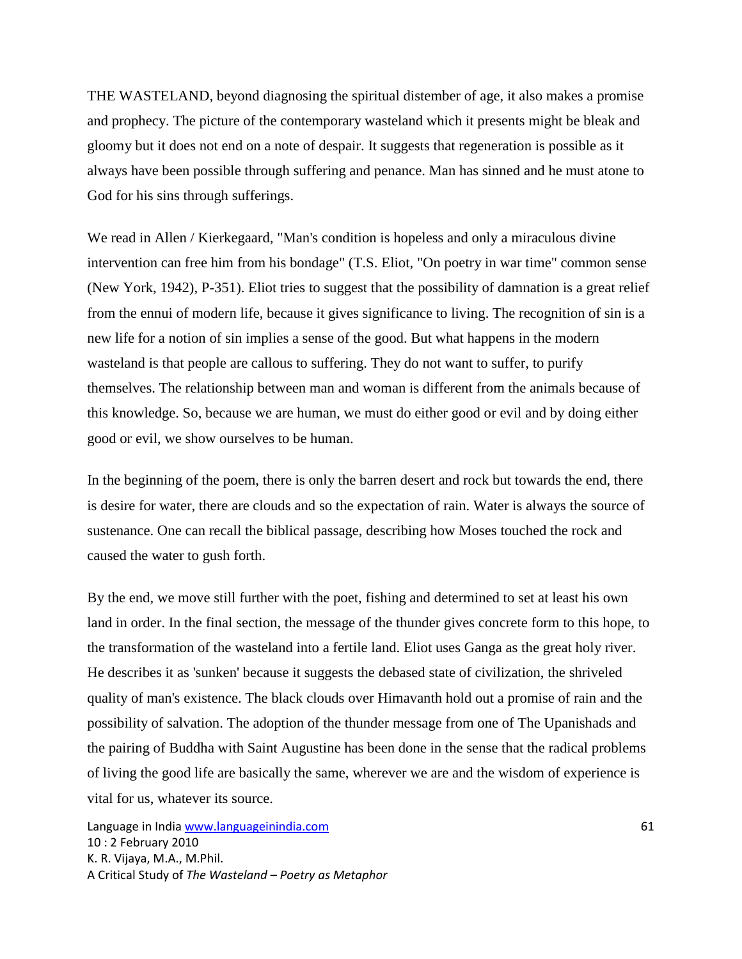THE WASTELAND, beyond diagnosing the spiritual distember of age, it also makes a promise and prophecy. The picture of the contemporary wasteland which it presents might be bleak and gloomy but it does not end on a note of despair. It suggests that regeneration is possible as it always have been possible through suffering and penance. Man has sinned and he must atone to God for his sins through sufferings.

We read in Allen / Kierkegaard, "Man's condition is hopeless and only a miraculous divine intervention can free him from his bondage" (T.S. Eliot, "On poetry in war time" common sense (New York, 1942), P-351). Eliot tries to suggest that the possibility of damnation is a great relief from the ennui of modern life, because it gives significance to living. The recognition of sin is a new life for a notion of sin implies a sense of the good. But what happens in the modern wasteland is that people are callous to suffering. They do not want to suffer, to purify themselves. The relationship between man and woman is different from the animals because of this knowledge. So, because we are human, we must do either good or evil and by doing either good or evil, we show ourselves to be human.

In the beginning of the poem, there is only the barren desert and rock but towards the end, there is desire for water, there are clouds and so the expectation of rain. Water is always the source of sustenance. One can recall the biblical passage, describing how Moses touched the rock and caused the water to gush forth.

By the end, we move still further with the poet, fishing and determined to set at least his own land in order. In the final section, the message of the thunder gives concrete form to this hope, to the transformation of the wasteland into a fertile land. Eliot uses Ganga as the great holy river. He describes it as 'sunken' because it suggests the debased state of civilization, the shriveled quality of man's existence. The black clouds over Himavanth hold out a promise of rain and the possibility of salvation. The adoption of the thunder message from one of The Upanishads and the pairing of Buddha with Saint Augustine has been done in the sense that the radical problems of living the good life are basically the same, wherever we are and the wisdom of experience is vital for us, whatever its source.

Language in India www.languageinindia.com **61** and 61 10 : 2 February 2010 K. R. Vijaya, M.A., M.Phil. A Critical Study of *The Wasteland – Poetry as Metaphor*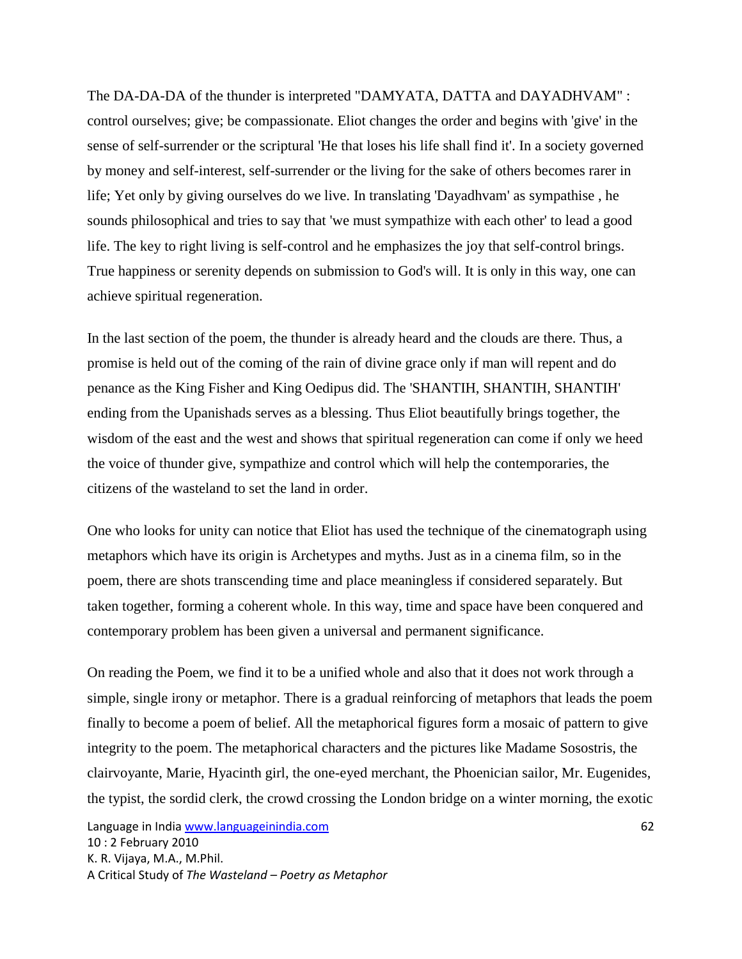The DA-DA-DA of the thunder is interpreted "DAMYATA, DATTA and DAYADHVAM" : control ourselves; give; be compassionate. Eliot changes the order and begins with 'give' in the sense of self-surrender or the scriptural 'He that loses his life shall find it'. In a society governed by money and self-interest, self-surrender or the living for the sake of others becomes rarer in life; Yet only by giving ourselves do we live. In translating 'Dayadhvam' as sympathise , he sounds philosophical and tries to say that 'we must sympathize with each other' to lead a good life. The key to right living is self-control and he emphasizes the joy that self-control brings. True happiness or serenity depends on submission to God's will. It is only in this way, one can achieve spiritual regeneration.

In the last section of the poem, the thunder is already heard and the clouds are there. Thus, a promise is held out of the coming of the rain of divine grace only if man will repent and do penance as the King Fisher and King Oedipus did. The 'SHANTIH, SHANTIH, SHANTIH' ending from the Upanishads serves as a blessing. Thus Eliot beautifully brings together, the wisdom of the east and the west and shows that spiritual regeneration can come if only we heed the voice of thunder give, sympathize and control which will help the contemporaries, the citizens of the wasteland to set the land in order.

One who looks for unity can notice that Eliot has used the technique of the cinematograph using metaphors which have its origin is Archetypes and myths. Just as in a cinema film, so in the poem, there are shots transcending time and place meaningless if considered separately. But taken together, forming a coherent whole. In this way, time and space have been conquered and contemporary problem has been given a universal and permanent significance.

On reading the Poem, we find it to be a unified whole and also that it does not work through a simple, single irony or metaphor. There is a gradual reinforcing of metaphors that leads the poem finally to become a poem of belief. All the metaphorical figures form a mosaic of pattern to give integrity to the poem. The metaphorical characters and the pictures like Madame Sosostris, the clairvoyante, Marie, Hyacinth girl, the one-eyed merchant, the Phoenician sailor, Mr. Eugenides, the typist, the sordid clerk, the crowd crossing the London bridge on a winter morning, the exotic

Language in India www.languageinindia.com 62 10 : 2 February 2010 K. R. Vijaya, M.A., M.Phil. A Critical Study of *The Wasteland – Poetry as Metaphor*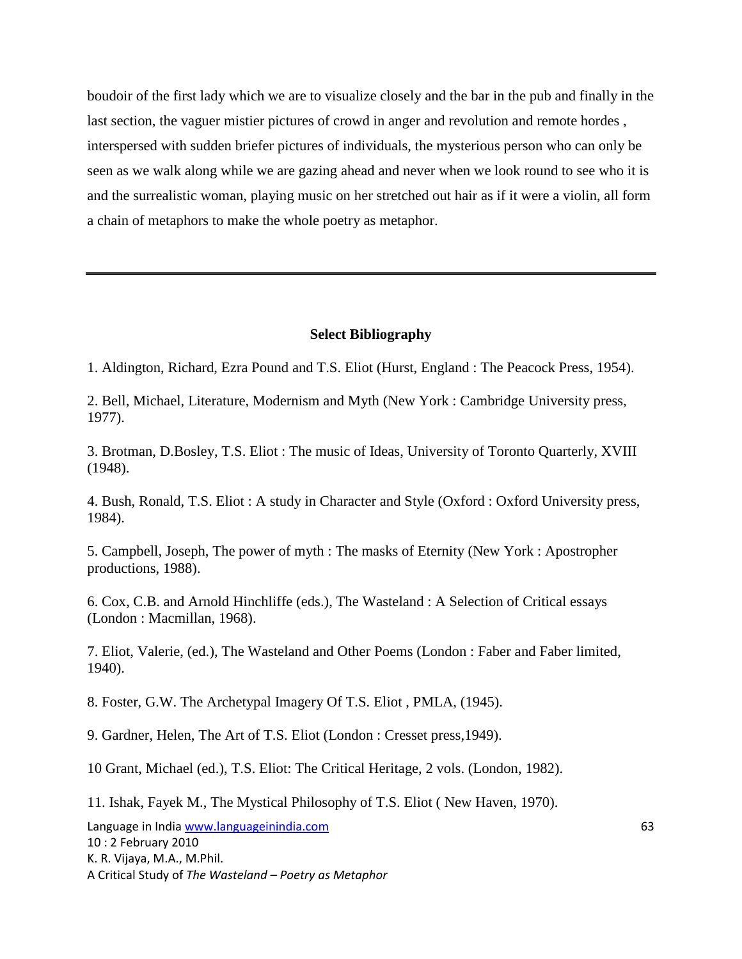boudoir of the first lady which we are to visualize closely and the bar in the pub and finally in the last section, the vaguer mistier pictures of crowd in anger and revolution and remote hordes , interspersed with sudden briefer pictures of individuals, the mysterious person who can only be seen as we walk along while we are gazing ahead and never when we look round to see who it is and the surrealistic woman, playing music on her stretched out hair as if it were a violin, all form a chain of metaphors to make the whole poetry as metaphor.

#### **Select Bibliography**

1. Aldington, Richard, Ezra Pound and T.S. Eliot (Hurst, England : The Peacock Press, 1954).

2. Bell, Michael, Literature, Modernism and Myth (New York : Cambridge University press, 1977).

3. Brotman, D.Bosley, T.S. Eliot : The music of Ideas, University of Toronto Quarterly, XVIII (1948).

4. Bush, Ronald, T.S. Eliot : A study in Character and Style (Oxford : Oxford University press, 1984).

5. Campbell, Joseph, The power of myth : The masks of Eternity (New York : Apostropher productions, 1988).

6. Cox, C.B. and Arnold Hinchliffe (eds.), The Wasteland : A Selection of Critical essays (London : Macmillan, 1968).

7. Eliot, Valerie, (ed.), The Wasteland and Other Poems (London : Faber and Faber limited, 1940).

8. Foster, G.W. The Archetypal Imagery Of T.S. Eliot , PMLA, (1945).

9. Gardner, Helen, The Art of T.S. Eliot (London : Cresset press,1949).

10 Grant, Michael (ed.), T.S. Eliot: The Critical Heritage, 2 vols. (London, 1982).

11. Ishak, Fayek M., The Mystical Philosophy of T.S. Eliot ( New Haven, 1970).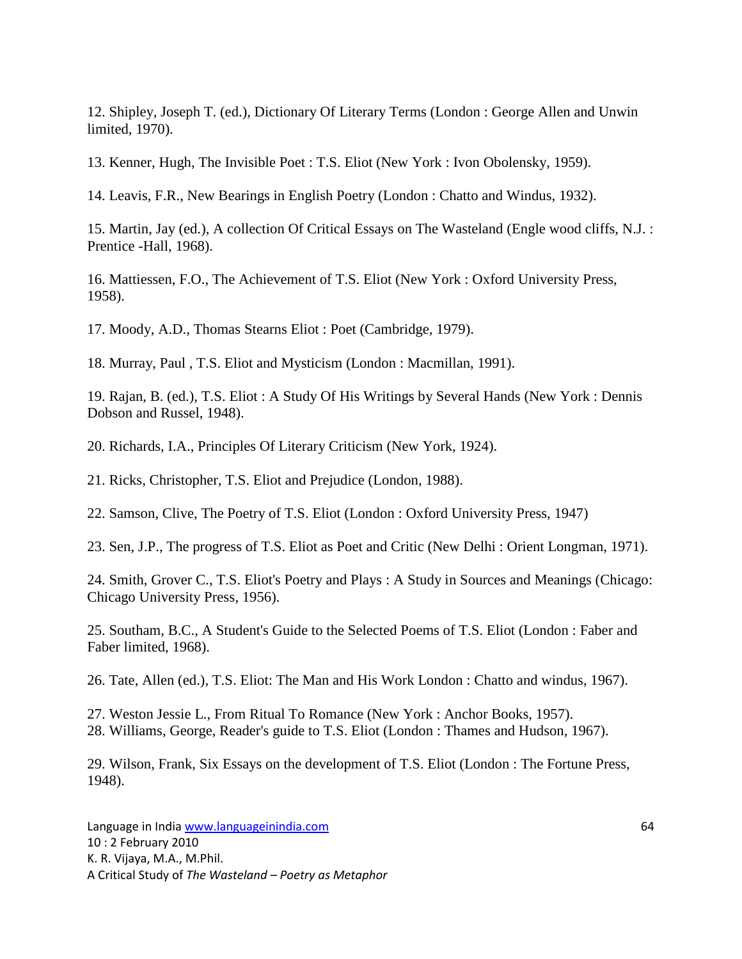12. Shipley, Joseph T. (ed.), Dictionary Of Literary Terms (London : George Allen and Unwin limited, 1970).

13. Kenner, Hugh, The Invisible Poet : T.S. Eliot (New York : Ivon Obolensky, 1959).

14. Leavis, F.R., New Bearings in English Poetry (London : Chatto and Windus, 1932).

15. Martin, Jay (ed.), A collection Of Critical Essays on The Wasteland (Engle wood cliffs, N.J. : Prentice -Hall, 1968).

16. Mattiessen, F.O., The Achievement of T.S. Eliot (New York : Oxford University Press, 1958).

17. Moody, A.D., Thomas Stearns Eliot : Poet (Cambridge, 1979).

18. Murray, Paul , T.S. Eliot and Mysticism (London : Macmillan, 1991).

19. Rajan, B. (ed.), T.S. Eliot : A Study Of His Writings by Several Hands (New York : Dennis Dobson and Russel, 1948).

20. Richards, I.A., Principles Of Literary Criticism (New York, 1924).

21. Ricks, Christopher, T.S. Eliot and Prejudice (London, 1988).

22. Samson, Clive, The Poetry of T.S. Eliot (London : Oxford University Press, 1947)

23. Sen, J.P., The progress of T.S. Eliot as Poet and Critic (New Delhi : Orient Longman, 1971).

24. Smith, Grover C., T.S. Eliot's Poetry and Plays : A Study in Sources and Meanings (Chicago: Chicago University Press, 1956).

25. Southam, B.C., A Student's Guide to the Selected Poems of T.S. Eliot (London : Faber and Faber limited, 1968).

26. Tate, Allen (ed.), T.S. Eliot: The Man and His Work London : Chatto and windus, 1967).

27. Weston Jessie L., From Ritual To Romance (New York : Anchor Books, 1957). 28. Williams, George, Reader's guide to T.S. Eliot (London : Thames and Hudson, 1967).

29. Wilson, Frank, Six Essays on the development of T.S. Eliot (London : The Fortune Press, 1948).

Language in India www.languageinindia.com 64 10 : 2 February 2010 K. R. Vijaya, M.A., M.Phil. A Critical Study of *The Wasteland – Poetry as Metaphor*